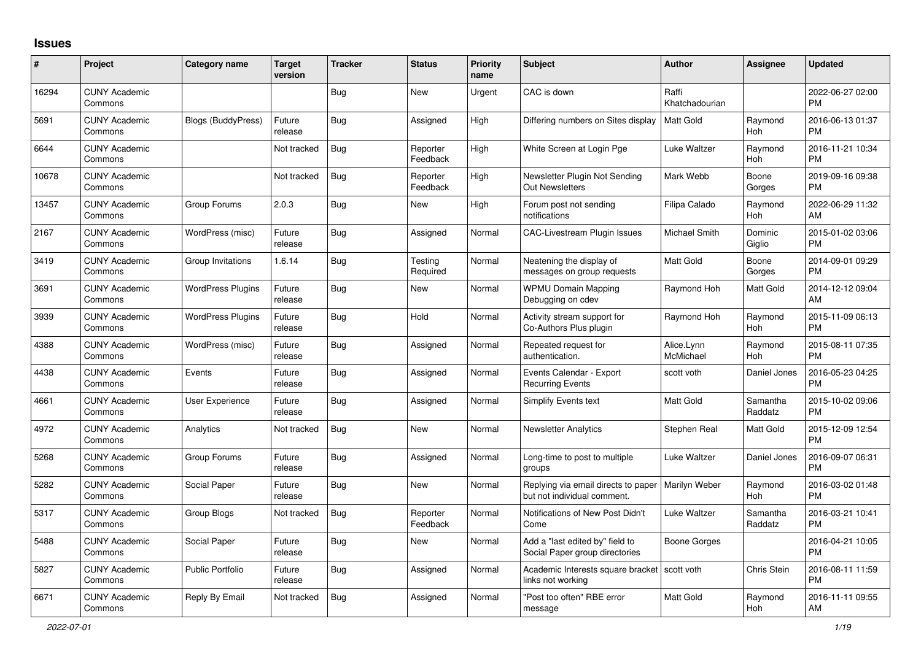## **Issues**

| $\vert$ # | Project                         | <b>Category name</b>      | <b>Target</b><br>version | <b>Tracker</b> | <b>Status</b>        | <b>Priority</b><br>name | <b>Subject</b>                                                      | <b>Author</b>           | Assignee            | <b>Updated</b>                |
|-----------|---------------------------------|---------------------------|--------------------------|----------------|----------------------|-------------------------|---------------------------------------------------------------------|-------------------------|---------------------|-------------------------------|
| 16294     | <b>CUNY Academic</b><br>Commons |                           |                          | Bug            | New                  | Urgent                  | CAC is down                                                         | Raffi<br>Khatchadourian |                     | 2022-06-27 02:00<br><b>PM</b> |
| 5691      | <b>CUNY Academic</b><br>Commons | <b>Blogs (BuddyPress)</b> | Future<br>release        | Bug            | Assigned             | High                    | Differing numbers on Sites display                                  | Matt Gold               | Raymond<br>Hoh      | 2016-06-13 01:37<br><b>PM</b> |
| 6644      | <b>CUNY Academic</b><br>Commons |                           | Not tracked              | <b>Bug</b>     | Reporter<br>Feedback | High                    | White Screen at Login Pge                                           | Luke Waltzer            | Raymond<br>Hoh      | 2016-11-21 10:34<br><b>PM</b> |
| 10678     | <b>CUNY Academic</b><br>Commons |                           | Not tracked              | Bug            | Reporter<br>Feedback | High                    | Newsletter Plugin Not Sending<br><b>Out Newsletters</b>             | Mark Webb               | Boone<br>Gorges     | 2019-09-16 09:38<br><b>PM</b> |
| 13457     | <b>CUNY Academic</b><br>Commons | Group Forums              | 2.0.3                    | Bug            | New                  | High                    | Forum post not sending<br>notifications                             | Filipa Calado           | Raymond<br>Hoh      | 2022-06-29 11:32<br>AM        |
| 2167      | <b>CUNY Academic</b><br>Commons | WordPress (misc)          | Future<br>release        | Bug            | Assigned             | Normal                  | <b>CAC-Livestream Plugin Issues</b>                                 | Michael Smith           | Dominic<br>Giglio   | 2015-01-02 03:06<br><b>PM</b> |
| 3419      | <b>CUNY Academic</b><br>Commons | Group Invitations         | 1.6.14                   | Bug            | Testing<br>Required  | Normal                  | Neatening the display of<br>messages on group requests              | <b>Matt Gold</b>        | Boone<br>Gorges     | 2014-09-01 09:29<br><b>PM</b> |
| 3691      | <b>CUNY Academic</b><br>Commons | <b>WordPress Plugins</b>  | Future<br>release        | Bug            | New                  | Normal                  | <b>WPMU Domain Mapping</b><br>Debugging on cdev                     | Raymond Hoh             | Matt Gold           | 2014-12-12 09:04<br>AM        |
| 3939      | <b>CUNY Academic</b><br>Commons | <b>WordPress Plugins</b>  | Future<br>release        | Bug            | Hold                 | Normal                  | Activity stream support for<br>Co-Authors Plus plugin               | Raymond Hoh             | Raymond<br>Hoh      | 2015-11-09 06:13<br><b>PM</b> |
| 4388      | <b>CUNY Academic</b><br>Commons | WordPress (misc)          | Future<br>release        | Bug            | Assigned             | Normal                  | Repeated request for<br>authentication.                             | Alice.Lynn<br>McMichael | Raymond<br>Hoh      | 2015-08-11 07:35<br><b>PM</b> |
| 4438      | <b>CUNY Academic</b><br>Commons | Events                    | Future<br>release        | Bug            | Assigned             | Normal                  | Events Calendar - Export<br><b>Recurring Events</b>                 | scott voth              | Daniel Jones        | 2016-05-23 04:25<br><b>PM</b> |
| 4661      | <b>CUNY Academic</b><br>Commons | User Experience           | Future<br>release        | Bug            | Assigned             | Normal                  | Simplify Events text                                                | <b>Matt Gold</b>        | Samantha<br>Raddatz | 2015-10-02 09:06<br><b>PM</b> |
| 4972      | <b>CUNY Academic</b><br>Commons | Analytics                 | Not tracked              | <b>Bug</b>     | <b>New</b>           | Normal                  | <b>Newsletter Analytics</b>                                         | Stephen Real            | Matt Gold           | 2015-12-09 12:54<br><b>PM</b> |
| 5268      | <b>CUNY Academic</b><br>Commons | Group Forums              | Future<br>release        | Bug            | Assigned             | Normal                  | Long-time to post to multiple<br>groups                             | Luke Waltzer            | Daniel Jones        | 2016-09-07 06:31<br><b>PM</b> |
| 5282      | <b>CUNY Academic</b><br>Commons | Social Paper              | Future<br>release        | Bug            | <b>New</b>           | Normal                  | Replying via email directs to paper<br>but not individual comment.  | Marilyn Weber           | Raymond<br>Hoh      | 2016-03-02 01:48<br><b>PM</b> |
| 5317      | <b>CUNY Academic</b><br>Commons | Group Blogs               | Not tracked              | <b>Bug</b>     | Reporter<br>Feedback | Normal                  | Notifications of New Post Didn't<br>Come                            | Luke Waltzer            | Samantha<br>Raddatz | 2016-03-21 10:41<br><b>PM</b> |
| 5488      | <b>CUNY Academic</b><br>Commons | Social Paper              | Future<br>release        | Bug            | New                  | Normal                  | Add a "last edited by" field to<br>Social Paper group directories   | Boone Gorges            |                     | 2016-04-21 10:05<br><b>PM</b> |
| 5827      | <b>CUNY Academic</b><br>Commons | <b>Public Portfolio</b>   | Future<br>release        | <b>Bug</b>     | Assigned             | Normal                  | Academic Interests square bracket   scott voth<br>links not working |                         | Chris Stein         | 2016-08-11 11:59<br><b>PM</b> |
| 6671      | <b>CUNY Academic</b><br>Commons | Reply By Email            | Not tracked              | Bug            | Assigned             | Normal                  | "Post too often" RBE error<br>message                               | <b>Matt Gold</b>        | Raymond<br>Hoh      | 2016-11-11 09:55<br>AM        |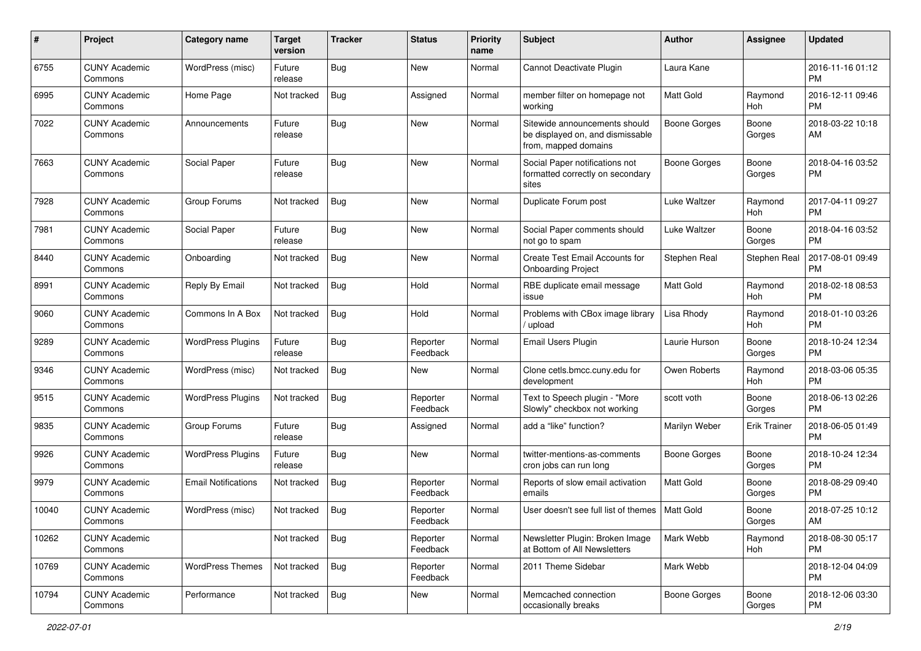| #     | Project                         | <b>Category name</b>       | <b>Target</b><br>version | <b>Tracker</b> | <b>Status</b>        | Priority<br>name | <b>Subject</b>                                                                            | Author              | <b>Assignee</b>     | <b>Updated</b>                |
|-------|---------------------------------|----------------------------|--------------------------|----------------|----------------------|------------------|-------------------------------------------------------------------------------------------|---------------------|---------------------|-------------------------------|
| 6755  | <b>CUNY Academic</b><br>Commons | WordPress (misc)           | Future<br>release        | Bug            | <b>New</b>           | Normal           | Cannot Deactivate Plugin                                                                  | Laura Kane          |                     | 2016-11-16 01:12<br><b>PM</b> |
| 6995  | <b>CUNY Academic</b><br>Commons | Home Page                  | Not tracked              | <b>Bug</b>     | Assigned             | Normal           | member filter on homepage not<br>working                                                  | <b>Matt Gold</b>    | Raymond<br>Hoh      | 2016-12-11 09:46<br><b>PM</b> |
| 7022  | <b>CUNY Academic</b><br>Commons | Announcements              | Future<br>release        | <b>Bug</b>     | New                  | Normal           | Sitewide announcements should<br>be displayed on, and dismissable<br>from, mapped domains | <b>Boone Gorges</b> | Boone<br>Gorges     | 2018-03-22 10:18<br>AM        |
| 7663  | <b>CUNY Academic</b><br>Commons | Social Paper               | Future<br>release        | Bug            | <b>New</b>           | Normal           | Social Paper notifications not<br>formatted correctly on secondary<br>sites               | <b>Boone Gorges</b> | Boone<br>Gorges     | 2018-04-16 03:52<br><b>PM</b> |
| 7928  | <b>CUNY Academic</b><br>Commons | Group Forums               | Not tracked              | Bug            | New                  | Normal           | Duplicate Forum post                                                                      | Luke Waltzer        | Raymond<br>Hoh      | 2017-04-11 09:27<br><b>PM</b> |
| 7981  | <b>CUNY Academic</b><br>Commons | Social Paper               | Future<br>release        | Bug            | New                  | Normal           | Social Paper comments should<br>not go to spam                                            | Luke Waltzer        | Boone<br>Gorges     | 2018-04-16 03:52<br><b>PM</b> |
| 8440  | <b>CUNY Academic</b><br>Commons | Onboarding                 | Not tracked              | <b>Bug</b>     | <b>New</b>           | Normal           | Create Test Email Accounts for<br><b>Onboarding Project</b>                               | Stephen Real        | Stephen Real        | 2017-08-01 09:49<br><b>PM</b> |
| 8991  | <b>CUNY Academic</b><br>Commons | Reply By Email             | Not tracked              | <b>Bug</b>     | Hold                 | Normal           | RBE duplicate email message<br>issue                                                      | Matt Gold           | Raymond<br>Hoh      | 2018-02-18 08:53<br><b>PM</b> |
| 9060  | <b>CUNY Academic</b><br>Commons | Commons In A Box           | Not tracked              | Bug            | Hold                 | Normal           | Problems with CBox image library<br>/ upload                                              | Lisa Rhody          | Raymond<br>Hoh      | 2018-01-10 03:26<br><b>PM</b> |
| 9289  | <b>CUNY Academic</b><br>Commons | <b>WordPress Plugins</b>   | Future<br>release        | Bug            | Reporter<br>Feedback | Normal           | Email Users Plugin                                                                        | Laurie Hurson       | Boone<br>Gorges     | 2018-10-24 12:34<br><b>PM</b> |
| 9346  | <b>CUNY Academic</b><br>Commons | WordPress (misc)           | Not tracked              | Bug            | New                  | Normal           | Clone cetls.bmcc.cuny.edu for<br>development                                              | Owen Roberts        | Raymond<br>Hoh      | 2018-03-06 05:35<br><b>PM</b> |
| 9515  | <b>CUNY Academic</b><br>Commons | <b>WordPress Plugins</b>   | Not tracked              | <b>Bug</b>     | Reporter<br>Feedback | Normal           | Text to Speech plugin - "More<br>Slowly" checkbox not working                             | scott voth          | Boone<br>Gorges     | 2018-06-13 02:26<br><b>PM</b> |
| 9835  | <b>CUNY Academic</b><br>Commons | Group Forums               | Future<br>release        | Bug            | Assigned             | Normal           | add a "like" function?                                                                    | Marilyn Weber       | <b>Erik Trainer</b> | 2018-06-05 01:49<br><b>PM</b> |
| 9926  | <b>CUNY Academic</b><br>Commons | <b>WordPress Plugins</b>   | Future<br>release        | <b>Bug</b>     | <b>New</b>           | Normal           | twitter-mentions-as-comments<br>cron jobs can run long                                    | Boone Gorges        | Boone<br>Gorges     | 2018-10-24 12:34<br><b>PM</b> |
| 9979  | <b>CUNY Academic</b><br>Commons | <b>Email Notifications</b> | Not tracked              | Bug            | Reporter<br>Feedback | Normal           | Reports of slow email activation<br>emails                                                | <b>Matt Gold</b>    | Boone<br>Gorges     | 2018-08-29 09:40<br><b>PM</b> |
| 10040 | <b>CUNY Academic</b><br>Commons | WordPress (misc)           | Not tracked              | <b>Bug</b>     | Reporter<br>Feedback | Normal           | User doesn't see full list of themes   Matt Gold                                          |                     | Boone<br>Gorges     | 2018-07-25 10:12<br>AM        |
| 10262 | <b>CUNY Academic</b><br>Commons |                            | Not tracked              | <b>Bug</b>     | Reporter<br>Feedback | Normal           | Newsletter Plugin: Broken Image<br>at Bottom of All Newsletters                           | Mark Webb           | Raymond<br>Hoh      | 2018-08-30 05:17<br>PM        |
| 10769 | <b>CUNY Academic</b><br>Commons | <b>WordPress Themes</b>    | Not tracked              | Bug            | Reporter<br>Feedback | Normal           | 2011 Theme Sidebar                                                                        | Mark Webb           |                     | 2018-12-04 04:09<br><b>PM</b> |
| 10794 | <b>CUNY Academic</b><br>Commons | Performance                | Not tracked              | Bug            | New                  | Normal           | Memcached connection<br>occasionally breaks                                               | Boone Gorges        | Boone<br>Gorges     | 2018-12-06 03:30<br><b>PM</b> |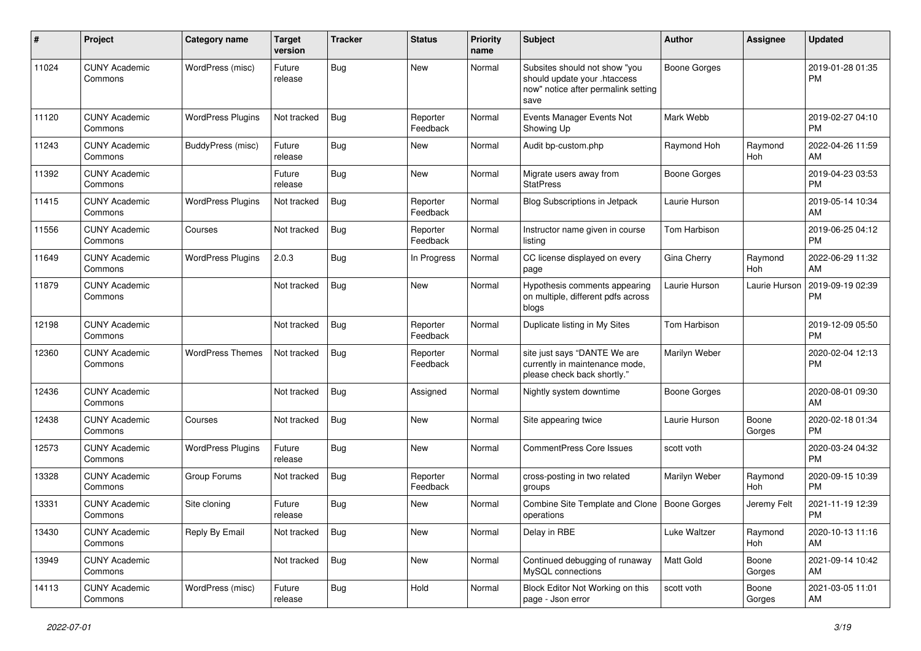| #     | Project                         | Category name            | <b>Target</b><br>version | <b>Tracker</b> | <b>Status</b>        | <b>Priority</b><br>name | Subject                                                                                                      | Author              | Assignee              | <b>Updated</b>                |
|-------|---------------------------------|--------------------------|--------------------------|----------------|----------------------|-------------------------|--------------------------------------------------------------------------------------------------------------|---------------------|-----------------------|-------------------------------|
| 11024 | <b>CUNY Academic</b><br>Commons | WordPress (misc)         | Future<br>release        | <b>Bug</b>     | <b>New</b>           | Normal                  | Subsites should not show "you<br>should update your .htaccess<br>now" notice after permalink setting<br>save | <b>Boone Gorges</b> |                       | 2019-01-28 01:35<br><b>PM</b> |
| 11120 | <b>CUNY Academic</b><br>Commons | <b>WordPress Plugins</b> | Not tracked              | <b>Bug</b>     | Reporter<br>Feedback | Normal                  | Events Manager Events Not<br>Showing Up                                                                      | Mark Webb           |                       | 2019-02-27 04:10<br><b>PM</b> |
| 11243 | <b>CUNY Academic</b><br>Commons | <b>BuddyPress (misc)</b> | Future<br>release        | Bug            | <b>New</b>           | Normal                  | Audit bp-custom.php                                                                                          | Raymond Hoh         | Raymond<br>Hoh        | 2022-04-26 11:59<br>AM        |
| 11392 | <b>CUNY Academic</b><br>Commons |                          | Future<br>release        | Bug            | <b>New</b>           | Normal                  | Migrate users away from<br><b>StatPress</b>                                                                  | <b>Boone Gorges</b> |                       | 2019-04-23 03:53<br><b>PM</b> |
| 11415 | <b>CUNY Academic</b><br>Commons | <b>WordPress Plugins</b> | Not tracked              | Bug            | Reporter<br>Feedback | Normal                  | Blog Subscriptions in Jetpack                                                                                | Laurie Hurson       |                       | 2019-05-14 10:34<br>AM        |
| 11556 | <b>CUNY Academic</b><br>Commons | Courses                  | Not tracked              | Bug            | Reporter<br>Feedback | Normal                  | Instructor name given in course<br>listing                                                                   | Tom Harbison        |                       | 2019-06-25 04:12<br><b>PM</b> |
| 11649 | <b>CUNY Academic</b><br>Commons | <b>WordPress Plugins</b> | 2.0.3                    | <b>Bug</b>     | In Progress          | Normal                  | CC license displayed on every<br>page                                                                        | Gina Cherry         | Raymond<br><b>Hoh</b> | 2022-06-29 11:32<br>AM        |
| 11879 | <b>CUNY Academic</b><br>Commons |                          | Not tracked              | Bug            | New                  | Normal                  | Hypothesis comments appearing<br>on multiple, different pdfs across<br>blogs                                 | Laurie Hurson       | Laurie Hurson         | 2019-09-19 02:39<br><b>PM</b> |
| 12198 | <b>CUNY Academic</b><br>Commons |                          | Not tracked              | Bug            | Reporter<br>Feedback | Normal                  | Duplicate listing in My Sites                                                                                | Tom Harbison        |                       | 2019-12-09 05:50<br><b>PM</b> |
| 12360 | <b>CUNY Academic</b><br>Commons | <b>WordPress Themes</b>  | Not tracked              | <b>Bug</b>     | Reporter<br>Feedback | Normal                  | site just says "DANTE We are<br>currently in maintenance mode,<br>please check back shortly."                | Marilyn Weber       |                       | 2020-02-04 12:13<br><b>PM</b> |
| 12436 | <b>CUNY Academic</b><br>Commons |                          | Not tracked              | Bug            | Assigned             | Normal                  | Nightly system downtime                                                                                      | <b>Boone Gorges</b> |                       | 2020-08-01 09:30<br>AM        |
| 12438 | <b>CUNY Academic</b><br>Commons | Courses                  | Not tracked              | Bug            | New                  | Normal                  | Site appearing twice                                                                                         | Laurie Hurson       | Boone<br>Gorges       | 2020-02-18 01:34<br><b>PM</b> |
| 12573 | <b>CUNY Academic</b><br>Commons | <b>WordPress Plugins</b> | Future<br>release        | <b>Bug</b>     | <b>New</b>           | Normal                  | <b>CommentPress Core Issues</b>                                                                              | scott voth          |                       | 2020-03-24 04:32<br><b>PM</b> |
| 13328 | <b>CUNY Academic</b><br>Commons | Group Forums             | Not tracked              | Bug            | Reporter<br>Feedback | Normal                  | cross-posting in two related<br>groups                                                                       | Marilyn Weber       | Raymond<br>Hoh        | 2020-09-15 10:39<br><b>PM</b> |
| 13331 | <b>CUNY Academic</b><br>Commons | Site cloning             | Future<br>release        | <b>Bug</b>     | New                  | Normal                  | Combine Site Template and Clone<br>operations                                                                | <b>Boone Gorges</b> | Jeremy Felt           | 2021-11-19 12:39<br><b>PM</b> |
| 13430 | <b>CUNY Academic</b><br>Commons | Reply By Email           | Not tracked              | Bug            | New                  | Normal                  | Delay in RBE                                                                                                 | Luke Waltzer        | Raymond<br>Hoh        | 2020-10-13 11:16<br>AM        |
| 13949 | <b>CUNY Academic</b><br>Commons |                          | Not tracked              | Bug            | New                  | Normal                  | Continued debugging of runaway<br>MvSQL connections                                                          | Matt Gold           | Boone<br>Gorges       | 2021-09-14 10:42<br>AM        |
| 14113 | <b>CUNY Academic</b><br>Commons | WordPress (misc)         | Future<br>release        | <b>Bug</b>     | Hold                 | Normal                  | Block Editor Not Working on this<br>page - Json error                                                        | scott voth          | Boone<br>Gorges       | 2021-03-05 11:01<br>AM        |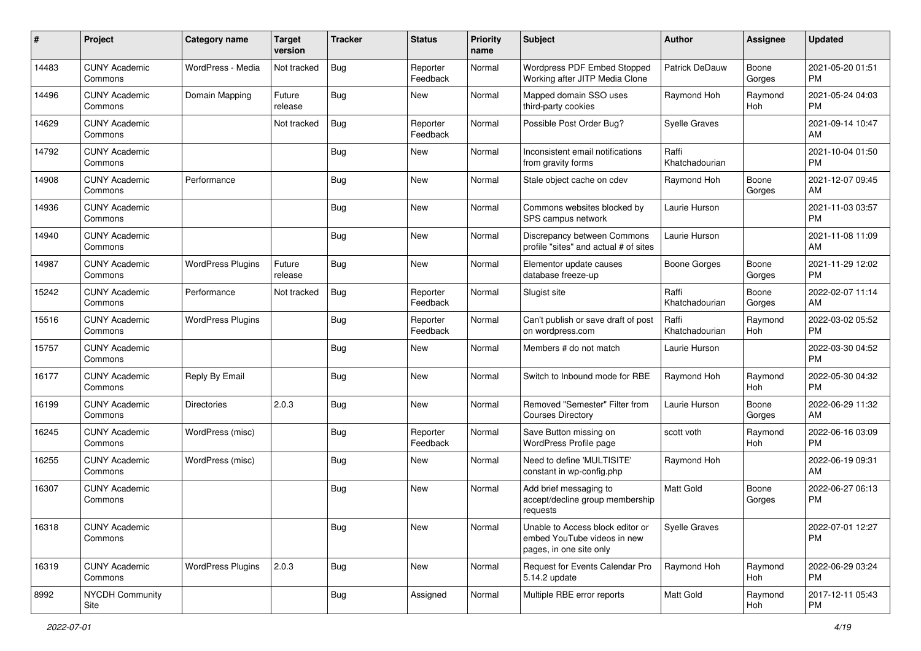| #     | Project                         | <b>Category name</b>     | <b>Target</b><br>version | <b>Tracker</b> | <b>Status</b>        | <b>Priority</b><br>name | <b>Subject</b>                                                                             | <b>Author</b>           | <b>Assignee</b> | <b>Updated</b>                |
|-------|---------------------------------|--------------------------|--------------------------|----------------|----------------------|-------------------------|--------------------------------------------------------------------------------------------|-------------------------|-----------------|-------------------------------|
| 14483 | <b>CUNY Academic</b><br>Commons | WordPress - Media        | Not tracked              | <b>Bug</b>     | Reporter<br>Feedback | Normal                  | <b>Wordpress PDF Embed Stopped</b><br>Working after JITP Media Clone                       | Patrick DeDauw          | Boone<br>Gorges | 2021-05-20 01:51<br><b>PM</b> |
| 14496 | <b>CUNY Academic</b><br>Commons | Domain Mapping           | Future<br>release        | <b>Bug</b>     | New                  | Normal                  | Mapped domain SSO uses<br>third-party cookies                                              | Raymond Hoh             | Raymond<br>Hoh  | 2021-05-24 04:03<br><b>PM</b> |
| 14629 | <b>CUNY Academic</b><br>Commons |                          | Not tracked              | Bug            | Reporter<br>Feedback | Normal                  | Possible Post Order Bug?                                                                   | <b>Syelle Graves</b>    |                 | 2021-09-14 10:47<br>AM        |
| 14792 | <b>CUNY Academic</b><br>Commons |                          |                          | Bug            | New                  | Normal                  | Inconsistent email notifications<br>from gravity forms                                     | Raffi<br>Khatchadourian |                 | 2021-10-04 01:50<br><b>PM</b> |
| 14908 | <b>CUNY Academic</b><br>Commons | Performance              |                          | Bug            | <b>New</b>           | Normal                  | Stale object cache on cdev                                                                 | Raymond Hoh             | Boone<br>Gorges | 2021-12-07 09:45<br>AM        |
| 14936 | <b>CUNY Academic</b><br>Commons |                          |                          | <b>Bug</b>     | New                  | Normal                  | Commons websites blocked by<br>SPS campus network                                          | Laurie Hurson           |                 | 2021-11-03 03:57<br><b>PM</b> |
| 14940 | <b>CUNY Academic</b><br>Commons |                          |                          | Bug            | <b>New</b>           | Normal                  | Discrepancy between Commons<br>profile "sites" and actual # of sites                       | Laurie Hurson           |                 | 2021-11-08 11:09<br>AM        |
| 14987 | <b>CUNY Academic</b><br>Commons | <b>WordPress Plugins</b> | Future<br>release        | Bug            | New                  | Normal                  | Elementor update causes<br>database freeze-up                                              | <b>Boone Gorges</b>     | Boone<br>Gorges | 2021-11-29 12:02<br><b>PM</b> |
| 15242 | <b>CUNY Academic</b><br>Commons | Performance              | Not tracked              | Bug            | Reporter<br>Feedback | Normal                  | Slugist site                                                                               | Raffi<br>Khatchadourian | Boone<br>Gorges | 2022-02-07 11:14<br>AM        |
| 15516 | <b>CUNY Academic</b><br>Commons | <b>WordPress Plugins</b> |                          | Bug            | Reporter<br>Feedback | Normal                  | Can't publish or save draft of post<br>on wordpress.com                                    | Raffi<br>Khatchadourian | Raymond<br>Hoh  | 2022-03-02 05:52<br><b>PM</b> |
| 15757 | <b>CUNY Academic</b><br>Commons |                          |                          | Bug            | New                  | Normal                  | Members # do not match                                                                     | Laurie Hurson           |                 | 2022-03-30 04:52<br><b>PM</b> |
| 16177 | <b>CUNY Academic</b><br>Commons | Reply By Email           |                          | Bug            | <b>New</b>           | Normal                  | Switch to Inbound mode for RBE                                                             | Raymond Hoh             | Raymond<br>Hoh  | 2022-05-30 04:32<br><b>PM</b> |
| 16199 | <b>CUNY Academic</b><br>Commons | <b>Directories</b>       | 2.0.3                    | Bug            | <b>New</b>           | Normal                  | Removed "Semester" Filter from<br><b>Courses Directory</b>                                 | Laurie Hurson           | Boone<br>Gorges | 2022-06-29 11:32<br>AM        |
| 16245 | <b>CUNY Academic</b><br>Commons | WordPress (misc)         |                          | Bug            | Reporter<br>Feedback | Normal                  | Save Button missing on<br>WordPress Profile page                                           | scott voth              | Raymond<br>Hoh  | 2022-06-16 03:09<br><b>PM</b> |
| 16255 | <b>CUNY Academic</b><br>Commons | WordPress (misc)         |                          | Bug            | New                  | Normal                  | Need to define 'MULTISITE'<br>constant in wp-config.php                                    | Raymond Hoh             |                 | 2022-06-19 09:31<br>AM        |
| 16307 | <b>CUNY Academic</b><br>Commons |                          |                          | Bug            | New                  | Normal                  | Add brief messaging to<br>accept/decline group membership<br>requests                      | <b>Matt Gold</b>        | Boone<br>Gorges | 2022-06-27 06:13<br><b>PM</b> |
| 16318 | <b>CUNY Academic</b><br>Commons |                          |                          | <b>Bug</b>     | New                  | Normal                  | Unable to Access block editor or<br>embed YouTube videos in new<br>pages, in one site only | Syelle Graves           |                 | 2022-07-01 12:27<br><b>PM</b> |
| 16319 | <b>CUNY Academic</b><br>Commons | <b>WordPress Plugins</b> | 2.0.3                    | <b>Bug</b>     | New                  | Normal                  | Request for Events Calendar Pro<br>5.14.2 update                                           | Raymond Hoh             | Raymond<br>Hoh  | 2022-06-29 03:24<br><b>PM</b> |
| 8992  | <b>NYCDH Community</b><br>Site  |                          |                          | <b>Bug</b>     | Assigned             | Normal                  | Multiple RBE error reports                                                                 | Matt Gold               | Raymond<br>Hoh  | 2017-12-11 05:43<br><b>PM</b> |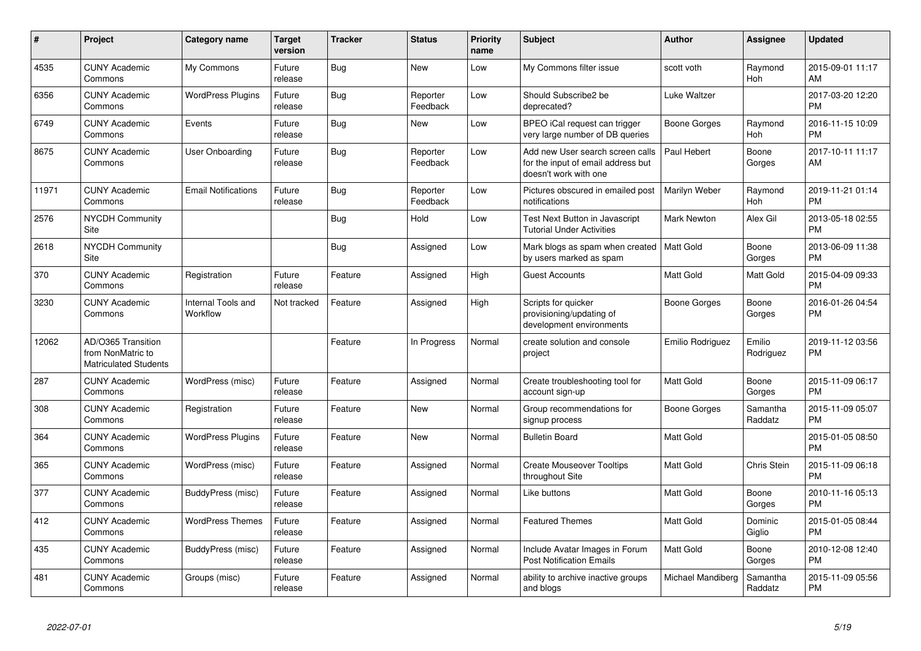| #     | Project                                                                 | <b>Category name</b>           | <b>Target</b><br>version | <b>Tracker</b> | <b>Status</b>        | <b>Priority</b><br>name | <b>Subject</b>                                                                                  | <b>Author</b>      | <b>Assignee</b>     | <b>Updated</b>                |
|-------|-------------------------------------------------------------------------|--------------------------------|--------------------------|----------------|----------------------|-------------------------|-------------------------------------------------------------------------------------------------|--------------------|---------------------|-------------------------------|
| 4535  | <b>CUNY Academic</b><br>Commons                                         | My Commons                     | Future<br>release        | Bug            | <b>New</b>           | Low                     | My Commons filter issue                                                                         | scott voth         | Raymond<br>Hoh      | 2015-09-01 11:17<br>AM        |
| 6356  | <b>CUNY Academic</b><br>Commons                                         | <b>WordPress Plugins</b>       | Future<br>release        | <b>Bug</b>     | Reporter<br>Feedback | Low                     | Should Subscribe2 be<br>deprecated?                                                             | Luke Waltzer       |                     | 2017-03-20 12:20<br><b>PM</b> |
| 6749  | <b>CUNY Academic</b><br>Commons                                         | Events                         | Future<br>release        | Bug            | New                  | Low                     | BPEO iCal request can trigger<br>very large number of DB queries                                | Boone Gorges       | Raymond<br>Hoh      | 2016-11-15 10:09<br><b>PM</b> |
| 8675  | <b>CUNY Academic</b><br>Commons                                         | User Onboarding                | Future<br>release        | <b>Bug</b>     | Reporter<br>Feedback | Low                     | Add new User search screen calls<br>for the input of email address but<br>doesn't work with one | Paul Hebert        | Boone<br>Gorges     | 2017-10-11 11:17<br>AM        |
| 11971 | <b>CUNY Academic</b><br>Commons                                         | <b>Email Notifications</b>     | Future<br>release        | Bug            | Reporter<br>Feedback | Low                     | Pictures obscured in emailed post<br>notifications                                              | Marilyn Weber      | Raymond<br>Hoh      | 2019-11-21 01:14<br><b>PM</b> |
| 2576  | <b>NYCDH Community</b><br>Site                                          |                                |                          | Bug            | Hold                 | Low                     | Test Next Button in Javascript<br><b>Tutorial Under Activities</b>                              | <b>Mark Newton</b> | Alex Gil            | 2013-05-18 02:55<br><b>PM</b> |
| 2618  | <b>NYCDH Community</b><br>Site                                          |                                |                          | Bug            | Assigned             | Low                     | Mark blogs as spam when created<br>by users marked as spam                                      | <b>Matt Gold</b>   | Boone<br>Gorges     | 2013-06-09 11:38<br><b>PM</b> |
| 370   | <b>CUNY Academic</b><br>Commons                                         | Registration                   | Future<br>release        | Feature        | Assigned             | High                    | <b>Guest Accounts</b>                                                                           | <b>Matt Gold</b>   | Matt Gold           | 2015-04-09 09:33<br><b>PM</b> |
| 3230  | <b>CUNY Academic</b><br>Commons                                         | Internal Tools and<br>Workflow | Not tracked              | Feature        | Assigned             | High                    | Scripts for quicker<br>provisioning/updating of<br>development environments                     | Boone Gorges       | Boone<br>Gorges     | 2016-01-26 04:54<br><b>PM</b> |
| 12062 | AD/O365 Transition<br>from NonMatric to<br><b>Matriculated Students</b> |                                |                          | Feature        | In Progress          | Normal                  | create solution and console<br>project                                                          | Emilio Rodriguez   | Emilio<br>Rodriguez | 2019-11-12 03:56<br><b>PM</b> |
| 287   | <b>CUNY Academic</b><br>Commons                                         | WordPress (misc)               | Future<br>release        | Feature        | Assigned             | Normal                  | Create troubleshooting tool for<br>account sign-up                                              | <b>Matt Gold</b>   | Boone<br>Gorges     | 2015-11-09 06:17<br><b>PM</b> |
| 308   | <b>CUNY Academic</b><br>Commons                                         | Registration                   | Future<br>release        | Feature        | New                  | Normal                  | Group recommendations for<br>signup process                                                     | Boone Gorges       | Samantha<br>Raddatz | 2015-11-09 05:07<br><b>PM</b> |
| 364   | <b>CUNY Academic</b><br>Commons                                         | <b>WordPress Plugins</b>       | Future<br>release        | Feature        | <b>New</b>           | Normal                  | <b>Bulletin Board</b>                                                                           | <b>Matt Gold</b>   |                     | 2015-01-05 08:50<br><b>PM</b> |
| 365   | <b>CUNY Academic</b><br>Commons                                         | WordPress (misc)               | Future<br>release        | Feature        | Assigned             | Normal                  | <b>Create Mouseover Tooltips</b><br>throughout Site                                             | <b>Matt Gold</b>   | Chris Stein         | 2015-11-09 06:18<br><b>PM</b> |
| 377   | <b>CUNY Academic</b><br>Commons                                         | BuddyPress (misc)              | Future<br>release        | Feature        | Assigned             | Normal                  | Like buttons                                                                                    | <b>Matt Gold</b>   | Boone<br>Gorges     | 2010-11-16 05:13<br><b>PM</b> |
| 412   | <b>CUNY Academic</b><br>Commons                                         | <b>WordPress Themes</b>        | Future<br>release        | Feature        | Assigned             | Normal                  | <b>Featured Themes</b>                                                                          | <b>Matt Gold</b>   | Dominic<br>Giglio   | 2015-01-05 08:44<br><b>PM</b> |
| 435   | <b>CUNY Academic</b><br>Commons                                         | BuddyPress (misc)              | Future<br>release        | Feature        | Assigned             | Normal                  | Include Avatar Images in Forum<br><b>Post Notification Emails</b>                               | <b>Matt Gold</b>   | Boone<br>Gorges     | 2010-12-08 12:40<br><b>PM</b> |
| 481   | <b>CUNY Academic</b><br>Commons                                         | Groups (misc)                  | Future<br>release        | Feature        | Assigned             | Normal                  | ability to archive inactive groups<br>and blogs                                                 | Michael Mandiberg  | Samantha<br>Raddatz | 2015-11-09 05:56<br><b>PM</b> |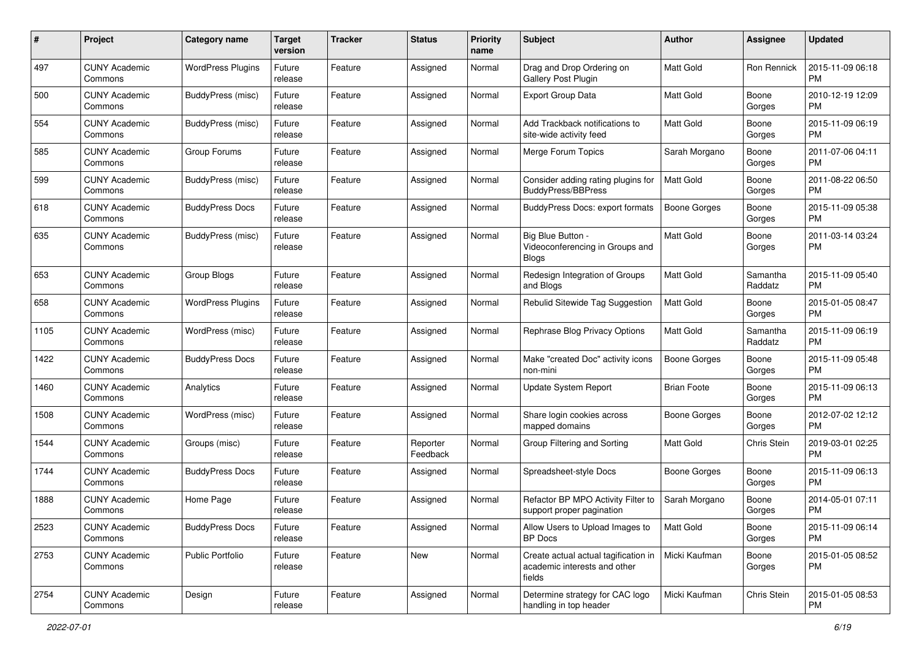| #    | Project                         | <b>Category name</b>     | <b>Target</b><br>version | Tracker | <b>Status</b>        | <b>Priority</b><br>name | <b>Subject</b>                                                                 | Author              | <b>Assignee</b>     | <b>Updated</b>                |
|------|---------------------------------|--------------------------|--------------------------|---------|----------------------|-------------------------|--------------------------------------------------------------------------------|---------------------|---------------------|-------------------------------|
| 497  | <b>CUNY Academic</b><br>Commons | <b>WordPress Plugins</b> | Future<br>release        | Feature | Assigned             | Normal                  | Drag and Drop Ordering on<br><b>Gallery Post Plugin</b>                        | <b>Matt Gold</b>    | Ron Rennick         | 2015-11-09 06:18<br><b>PM</b> |
| 500  | <b>CUNY Academic</b><br>Commons | BuddyPress (misc)        | Future<br>release        | Feature | Assigned             | Normal                  | <b>Export Group Data</b>                                                       | Matt Gold           | Boone<br>Gorges     | 2010-12-19 12:09<br><b>PM</b> |
| 554  | <b>CUNY Academic</b><br>Commons | <b>BuddyPress (misc)</b> | Future<br>release        | Feature | Assigned             | Normal                  | Add Trackback notifications to<br>site-wide activity feed                      | Matt Gold           | Boone<br>Gorges     | 2015-11-09 06:19<br><b>PM</b> |
| 585  | <b>CUNY Academic</b><br>Commons | Group Forums             | Future<br>release        | Feature | Assigned             | Normal                  | Merge Forum Topics                                                             | Sarah Morgano       | Boone<br>Gorges     | 2011-07-06 04:11<br><b>PM</b> |
| 599  | <b>CUNY Academic</b><br>Commons | BuddyPress (misc)        | Future<br>release        | Feature | Assigned             | Normal                  | Consider adding rating plugins for<br><b>BuddyPress/BBPress</b>                | <b>Matt Gold</b>    | Boone<br>Gorges     | 2011-08-22 06:50<br><b>PM</b> |
| 618  | <b>CUNY Academic</b><br>Commons | <b>BuddyPress Docs</b>   | Future<br>release        | Feature | Assigned             | Normal                  | BuddyPress Docs: export formats                                                | <b>Boone Gorges</b> | Boone<br>Gorges     | 2015-11-09 05:38<br><b>PM</b> |
| 635  | <b>CUNY Academic</b><br>Commons | BuddyPress (misc)        | Future<br>release        | Feature | Assigned             | Normal                  | Big Blue Button -<br>Videoconferencing in Groups and<br><b>Blogs</b>           | <b>Matt Gold</b>    | Boone<br>Gorges     | 2011-03-14 03:24<br><b>PM</b> |
| 653  | <b>CUNY Academic</b><br>Commons | Group Blogs              | Future<br>release        | Feature | Assigned             | Normal                  | Redesign Integration of Groups<br>and Blogs                                    | Matt Gold           | Samantha<br>Raddatz | 2015-11-09 05:40<br><b>PM</b> |
| 658  | <b>CUNY Academic</b><br>Commons | <b>WordPress Plugins</b> | Future<br>release        | Feature | Assigned             | Normal                  | Rebulid Sitewide Tag Suggestion                                                | <b>Matt Gold</b>    | Boone<br>Gorges     | 2015-01-05 08:47<br><b>PM</b> |
| 1105 | <b>CUNY Academic</b><br>Commons | WordPress (misc)         | Future<br>release        | Feature | Assigned             | Normal                  | Rephrase Blog Privacy Options                                                  | <b>Matt Gold</b>    | Samantha<br>Raddatz | 2015-11-09 06:19<br><b>PM</b> |
| 1422 | <b>CUNY Academic</b><br>Commons | <b>BuddyPress Docs</b>   | Future<br>release        | Feature | Assigned             | Normal                  | Make "created Doc" activity icons<br>non-mini                                  | <b>Boone Gorges</b> | Boone<br>Gorges     | 2015-11-09 05:48<br><b>PM</b> |
| 1460 | CUNY Academic<br>Commons        | Analytics                | Future<br>release        | Feature | Assigned             | Normal                  | <b>Update System Report</b>                                                    | <b>Brian Foote</b>  | Boone<br>Gorges     | 2015-11-09 06:13<br><b>PM</b> |
| 1508 | <b>CUNY Academic</b><br>Commons | WordPress (misc)         | Future<br>release        | Feature | Assigned             | Normal                  | Share login cookies across<br>mapped domains                                   | <b>Boone Gorges</b> | Boone<br>Gorges     | 2012-07-02 12:12<br><b>PM</b> |
| 1544 | <b>CUNY Academic</b><br>Commons | Groups (misc)            | Future<br>release        | Feature | Reporter<br>Feedback | Normal                  | Group Filtering and Sorting                                                    | Matt Gold           | Chris Stein         | 2019-03-01 02:25<br><b>PM</b> |
| 1744 | <b>CUNY Academic</b><br>Commons | <b>BuddyPress Docs</b>   | Future<br>release        | Feature | Assigned             | Normal                  | Spreadsheet-style Docs                                                         | <b>Boone Gorges</b> | Boone<br>Gorges     | 2015-11-09 06:13<br><b>PM</b> |
| 1888 | <b>CUNY Academic</b><br>Commons | Home Page                | Future<br>release        | Feature | Assigned             | Normal                  | Refactor BP MPO Activity Filter to<br>support proper pagination                | Sarah Morgano       | Boone<br>Gorges     | 2014-05-01 07:11<br><b>PM</b> |
| 2523 | <b>CUNY Academic</b><br>Commons | <b>BuddyPress Docs</b>   | Future<br>release        | Feature | Assigned             | Normal                  | Allow Users to Upload Images to<br>BP Docs                                     | Matt Gold           | Boone<br>Gorges     | 2015-11-09 06:14<br><b>PM</b> |
| 2753 | <b>CUNY Academic</b><br>Commons | Public Portfolio         | Future<br>release        | Feature | New                  | Normal                  | Create actual actual tagification in<br>academic interests and other<br>fields | Micki Kaufman       | Boone<br>Gorges     | 2015-01-05 08:52<br>PM        |
| 2754 | <b>CUNY Academic</b><br>Commons | Design                   | Future<br>release        | Feature | Assigned             | Normal                  | Determine strategy for CAC logo<br>handling in top header                      | Micki Kaufman       | Chris Stein         | 2015-01-05 08:53<br>PM        |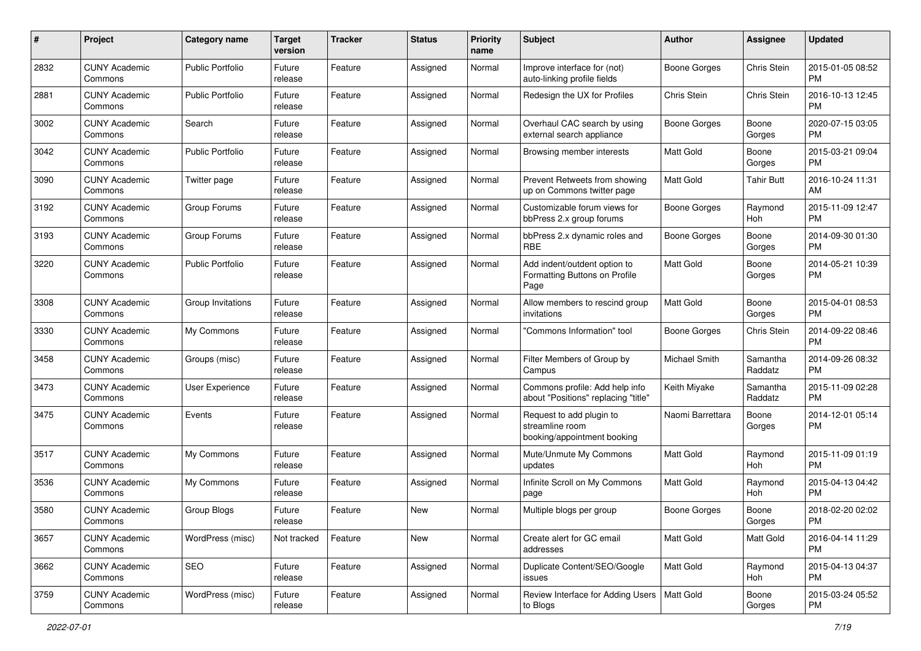| #    | Project                         | <b>Category name</b>    | <b>Target</b><br>version | <b>Tracker</b> | <b>Status</b> | Priority<br>name | <b>Subject</b>                                                             | Author              | <b>Assignee</b>     | <b>Updated</b>                |
|------|---------------------------------|-------------------------|--------------------------|----------------|---------------|------------------|----------------------------------------------------------------------------|---------------------|---------------------|-------------------------------|
| 2832 | <b>CUNY Academic</b><br>Commons | <b>Public Portfolio</b> | Future<br>release        | Feature        | Assigned      | Normal           | Improve interface for (not)<br>auto-linking profile fields                 | <b>Boone Gorges</b> | Chris Stein         | 2015-01-05 08:52<br><b>PM</b> |
| 2881 | <b>CUNY Academic</b><br>Commons | <b>Public Portfolio</b> | Future<br>release        | Feature        | Assigned      | Normal           | Redesign the UX for Profiles                                               | Chris Stein         | Chris Stein         | 2016-10-13 12:45<br><b>PM</b> |
| 3002 | <b>CUNY Academic</b><br>Commons | Search                  | Future<br>release        | Feature        | Assigned      | Normal           | Overhaul CAC search by using<br>external search appliance                  | Boone Gorges        | Boone<br>Gorges     | 2020-07-15 03:05<br><b>PM</b> |
| 3042 | <b>CUNY Academic</b><br>Commons | <b>Public Portfolio</b> | Future<br>release        | Feature        | Assigned      | Normal           | Browsing member interests                                                  | <b>Matt Gold</b>    | Boone<br>Gorges     | 2015-03-21 09:04<br>PM.       |
| 3090 | <b>CUNY Academic</b><br>Commons | Twitter page            | Future<br>release        | Feature        | Assigned      | Normal           | Prevent Retweets from showing<br>up on Commons twitter page                | Matt Gold           | Tahir Butt          | 2016-10-24 11:31<br>AM        |
| 3192 | <b>CUNY Academic</b><br>Commons | Group Forums            | Future<br>release        | Feature        | Assigned      | Normal           | Customizable forum views for<br>bbPress 2.x group forums                   | Boone Gorges        | Raymond<br>Hoh      | 2015-11-09 12:47<br><b>PM</b> |
| 3193 | <b>CUNY Academic</b><br>Commons | Group Forums            | Future<br>release        | Feature        | Assigned      | Normal           | bbPress 2.x dynamic roles and<br>RBE                                       | <b>Boone Gorges</b> | Boone<br>Gorges     | 2014-09-30 01:30<br>PM.       |
| 3220 | <b>CUNY Academic</b><br>Commons | <b>Public Portfolio</b> | Future<br>release        | Feature        | Assigned      | Normal           | Add indent/outdent option to<br>Formatting Buttons on Profile<br>Page      | <b>Matt Gold</b>    | Boone<br>Gorges     | 2014-05-21 10:39<br>PM.       |
| 3308 | <b>CUNY Academic</b><br>Commons | Group Invitations       | Future<br>release        | Feature        | Assigned      | Normal           | Allow members to rescind group<br>invitations                              | <b>Matt Gold</b>    | Boone<br>Gorges     | 2015-04-01 08:53<br><b>PM</b> |
| 3330 | <b>CUNY Academic</b><br>Commons | My Commons              | Future<br>release        | Feature        | Assigned      | Normal           | "Commons Information" tool                                                 | Boone Gorges        | Chris Stein         | 2014-09-22 08:46<br><b>PM</b> |
| 3458 | <b>CUNY Academic</b><br>Commons | Groups (misc)           | Future<br>release        | Feature        | Assigned      | Normal           | Filter Members of Group by<br>Campus                                       | Michael Smith       | Samantha<br>Raddatz | 2014-09-26 08:32<br><b>PM</b> |
| 3473 | <b>CUNY Academic</b><br>Commons | User Experience         | Future<br>release        | Feature        | Assigned      | Normal           | Commons profile: Add help info<br>about "Positions" replacing "title"      | Keith Miyake        | Samantha<br>Raddatz | 2015-11-09 02:28<br><b>PM</b> |
| 3475 | <b>CUNY Academic</b><br>Commons | Events                  | Future<br>release        | Feature        | Assigned      | Normal           | Request to add plugin to<br>streamline room<br>booking/appointment booking | Naomi Barrettara    | Boone<br>Gorges     | 2014-12-01 05:14<br><b>PM</b> |
| 3517 | <b>CUNY Academic</b><br>Commons | My Commons              | Future<br>release        | Feature        | Assigned      | Normal           | Mute/Unmute My Commons<br>updates                                          | <b>Matt Gold</b>    | Raymond<br>Hoh      | 2015-11-09 01:19<br><b>PM</b> |
| 3536 | <b>CUNY Academic</b><br>Commons | My Commons              | Future<br>release        | Feature        | Assigned      | Normal           | Infinite Scroll on My Commons<br>page                                      | Matt Gold           | Raymond<br>Hoh      | 2015-04-13 04:42<br><b>PM</b> |
| 3580 | <b>CUNY Academic</b><br>Commons | Group Blogs             | Future<br>release        | Feature        | New           | Normal           | Multiple blogs per group                                                   | <b>Boone Gorges</b> | Boone<br>Gorges     | 2018-02-20 02:02<br><b>PM</b> |
| 3657 | <b>CUNY Academic</b><br>Commons | WordPress (misc)        | Not tracked              | Feature        | New           | Normal           | Create alert for GC email<br>addresses                                     | Matt Gold           | Matt Gold           | 2016-04-14 11:29<br>PM.       |
| 3662 | <b>CUNY Academic</b><br>Commons | SEO                     | Future<br>release        | Feature        | Assigned      | Normal           | Duplicate Content/SEO/Google<br>issues                                     | Matt Gold           | Raymond<br>Hoh      | 2015-04-13 04:37<br><b>PM</b> |
| 3759 | <b>CUNY Academic</b><br>Commons | WordPress (misc)        | Future<br>release        | Feature        | Assigned      | Normal           | Review Interface for Adding Users   Matt Gold<br>to Blogs                  |                     | Boone<br>Gorges     | 2015-03-24 05:52<br><b>PM</b> |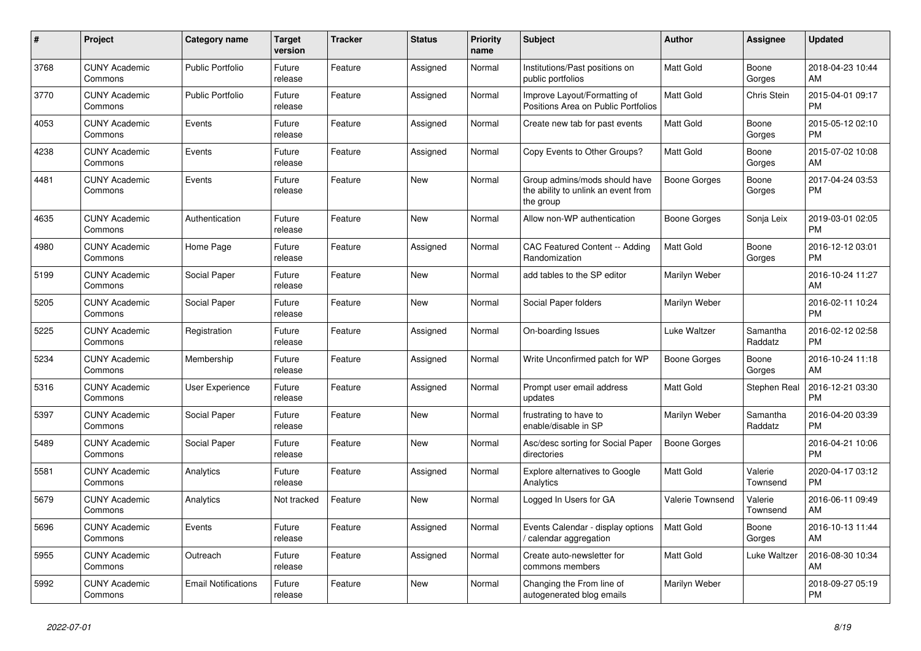| #    | <b>Project</b>                  | Category name              | <b>Target</b><br>version | <b>Tracker</b> | <b>Status</b> | <b>Priority</b><br>name | <b>Subject</b>                                                                    | <b>Author</b>    | Assignee            | <b>Updated</b>                |
|------|---------------------------------|----------------------------|--------------------------|----------------|---------------|-------------------------|-----------------------------------------------------------------------------------|------------------|---------------------|-------------------------------|
| 3768 | <b>CUNY Academic</b><br>Commons | <b>Public Portfolio</b>    | Future<br>release        | Feature        | Assigned      | Normal                  | Institutions/Past positions on<br>public portfolios                               | <b>Matt Gold</b> | Boone<br>Gorges     | 2018-04-23 10:44<br>AM        |
| 3770 | <b>CUNY Academic</b><br>Commons | <b>Public Portfolio</b>    | Future<br>release        | Feature        | Assigned      | Normal                  | Improve Layout/Formatting of<br>Positions Area on Public Portfolios               | <b>Matt Gold</b> | Chris Stein         | 2015-04-01 09:17<br><b>PM</b> |
| 4053 | <b>CUNY Academic</b><br>Commons | Events                     | Future<br>release        | Feature        | Assigned      | Normal                  | Create new tab for past events                                                    | <b>Matt Gold</b> | Boone<br>Gorges     | 2015-05-12 02:10<br><b>PM</b> |
| 4238 | <b>CUNY Academic</b><br>Commons | Events                     | Future<br>release        | Feature        | Assigned      | Normal                  | Copy Events to Other Groups?                                                      | <b>Matt Gold</b> | Boone<br>Gorges     | 2015-07-02 10:08<br>AM        |
| 4481 | <b>CUNY Academic</b><br>Commons | Events                     | Future<br>release        | Feature        | New           | Normal                  | Group admins/mods should have<br>the ability to unlink an event from<br>the group | Boone Gorges     | Boone<br>Gorges     | 2017-04-24 03:53<br><b>PM</b> |
| 4635 | <b>CUNY Academic</b><br>Commons | Authentication             | Future<br>release        | Feature        | <b>New</b>    | Normal                  | Allow non-WP authentication                                                       | Boone Gorges     | Sonja Leix          | 2019-03-01 02:05<br><b>PM</b> |
| 4980 | <b>CUNY Academic</b><br>Commons | Home Page                  | Future<br>release        | Feature        | Assigned      | Normal                  | CAC Featured Content -- Adding<br>Randomization                                   | <b>Matt Gold</b> | Boone<br>Gorges     | 2016-12-12 03:01<br><b>PM</b> |
| 5199 | <b>CUNY Academic</b><br>Commons | Social Paper               | Future<br>release        | Feature        | New           | Normal                  | add tables to the SP editor                                                       | Marilyn Weber    |                     | 2016-10-24 11:27<br>AM        |
| 5205 | <b>CUNY Academic</b><br>Commons | Social Paper               | Future<br>release        | Feature        | <b>New</b>    | Normal                  | Social Paper folders                                                              | Marilyn Weber    |                     | 2016-02-11 10:24<br><b>PM</b> |
| 5225 | <b>CUNY Academic</b><br>Commons | Registration               | Future<br>release        | Feature        | Assigned      | Normal                  | On-boarding Issues                                                                | Luke Waltzer     | Samantha<br>Raddatz | 2016-02-12 02:58<br><b>PM</b> |
| 5234 | <b>CUNY Academic</b><br>Commons | Membership                 | Future<br>release        | Feature        | Assigned      | Normal                  | Write Unconfirmed patch for WP                                                    | Boone Gorges     | Boone<br>Gorges     | 2016-10-24 11:18<br>AM        |
| 5316 | <b>CUNY Academic</b><br>Commons | User Experience            | Future<br>release        | Feature        | Assigned      | Normal                  | Prompt user email address<br>updates                                              | <b>Matt Gold</b> | Stephen Real        | 2016-12-21 03:30<br><b>PM</b> |
| 5397 | <b>CUNY Academic</b><br>Commons | Social Paper               | Future<br>release        | Feature        | <b>New</b>    | Normal                  | frustrating to have to<br>enable/disable in SP                                    | Marilyn Weber    | Samantha<br>Raddatz | 2016-04-20 03:39<br><b>PM</b> |
| 5489 | <b>CUNY Academic</b><br>Commons | Social Paper               | Future<br>release        | Feature        | <b>New</b>    | Normal                  | Asc/desc sorting for Social Paper<br>directories                                  | Boone Gorges     |                     | 2016-04-21 10:06<br><b>PM</b> |
| 5581 | <b>CUNY Academic</b><br>Commons | Analytics                  | Future<br>release        | Feature        | Assigned      | Normal                  | Explore alternatives to Google<br>Analytics                                       | <b>Matt Gold</b> | Valerie<br>Townsend | 2020-04-17 03:12<br><b>PM</b> |
| 5679 | <b>CUNY Academic</b><br>Commons | Analytics                  | Not tracked              | Feature        | New           | Normal                  | Logged In Users for GA                                                            | Valerie Townsend | Valerie<br>Townsend | 2016-06-11 09:49<br>AM        |
| 5696 | <b>CUNY Academic</b><br>Commons | Events                     | Future<br>release        | Feature        | Assigned      | Normal                  | Events Calendar - display options<br>/ calendar aggregation                       | <b>Matt Gold</b> | Boone<br>Gorges     | 2016-10-13 11:44<br>AM        |
| 5955 | <b>CUNY Academic</b><br>Commons | Outreach                   | Future<br>release        | Feature        | Assigned      | Normal                  | Create auto-newsletter for<br>commons members                                     | <b>Matt Gold</b> | Luke Waltzer        | 2016-08-30 10:34<br>AM        |
| 5992 | <b>CUNY Academic</b><br>Commons | <b>Email Notifications</b> | Future<br>release        | Feature        | <b>New</b>    | Normal                  | Changing the From line of<br>autogenerated blog emails                            | Marilyn Weber    |                     | 2018-09-27 05:19<br><b>PM</b> |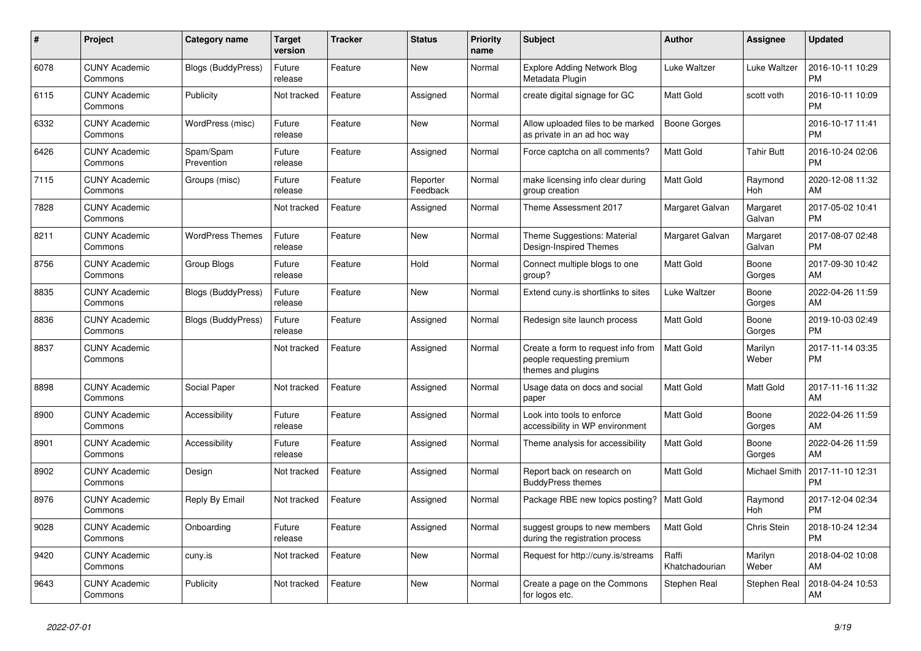| #    | <b>Project</b>                  | <b>Category name</b>      | <b>Target</b><br>version | <b>Tracker</b> | <b>Status</b>        | Priority<br>name | <b>Subject</b>                                                                        | <b>Author</b>           | Assignee             | <b>Updated</b>                |
|------|---------------------------------|---------------------------|--------------------------|----------------|----------------------|------------------|---------------------------------------------------------------------------------------|-------------------------|----------------------|-------------------------------|
| 6078 | <b>CUNY Academic</b><br>Commons | <b>Blogs (BuddyPress)</b> | Future<br>release        | Feature        | New                  | Normal           | <b>Explore Adding Network Blog</b><br>Metadata Plugin                                 | Luke Waltzer            | Luke Waltzer         | 2016-10-11 10:29<br><b>PM</b> |
| 6115 | <b>CUNY Academic</b><br>Commons | Publicity                 | Not tracked              | Feature        | Assigned             | Normal           | create digital signage for GC                                                         | Matt Gold               | scott voth           | 2016-10-11 10:09<br><b>PM</b> |
| 6332 | <b>CUNY Academic</b><br>Commons | WordPress (misc)          | Future<br>release        | Feature        | New                  | Normal           | Allow uploaded files to be marked<br>as private in an ad hoc way                      | Boone Gorges            |                      | 2016-10-17 11:41<br><b>PM</b> |
| 6426 | <b>CUNY Academic</b><br>Commons | Spam/Spam<br>Prevention   | Future<br>release        | Feature        | Assigned             | Normal           | Force captcha on all comments?                                                        | <b>Matt Gold</b>        | <b>Tahir Butt</b>    | 2016-10-24 02:06<br><b>PM</b> |
| 7115 | <b>CUNY Academic</b><br>Commons | Groups (misc)             | Future<br>release        | Feature        | Reporter<br>Feedback | Normal           | make licensing info clear during<br>group creation                                    | Matt Gold               | Raymond<br>Hoh       | 2020-12-08 11:32<br>AM        |
| 7828 | <b>CUNY Academic</b><br>Commons |                           | Not tracked              | Feature        | Assigned             | Normal           | Theme Assessment 2017                                                                 | Margaret Galvan         | Margaret<br>Galvan   | 2017-05-02 10:41<br><b>PM</b> |
| 8211 | <b>CUNY Academic</b><br>Commons | <b>WordPress Themes</b>   | Future<br>release        | Feature        | <b>New</b>           | Normal           | Theme Suggestions: Material<br>Design-Inspired Themes                                 | Margaret Galvan         | Margaret<br>Galvan   | 2017-08-07 02:48<br><b>PM</b> |
| 8756 | <b>CUNY Academic</b><br>Commons | Group Blogs               | Future<br>release        | Feature        | Hold                 | Normal           | Connect multiple blogs to one<br>group?                                               | <b>Matt Gold</b>        | Boone<br>Gorges      | 2017-09-30 10:42<br>AM        |
| 8835 | <b>CUNY Academic</b><br>Commons | <b>Blogs (BuddyPress)</b> | Future<br>release        | Feature        | New                  | Normal           | Extend cuny.is shortlinks to sites                                                    | Luke Waltzer            | Boone<br>Gorges      | 2022-04-26 11:59<br>AM        |
| 8836 | <b>CUNY Academic</b><br>Commons | <b>Blogs (BuddyPress)</b> | Future<br>release        | Feature        | Assigned             | Normal           | Redesign site launch process                                                          | Matt Gold               | Boone<br>Gorges      | 2019-10-03 02:49<br><b>PM</b> |
| 8837 | <b>CUNY Academic</b><br>Commons |                           | Not tracked              | Feature        | Assigned             | Normal           | Create a form to request info from<br>people requesting premium<br>themes and plugins | <b>Matt Gold</b>        | Marilyn<br>Weber     | 2017-11-14 03:35<br><b>PM</b> |
| 8898 | <b>CUNY Academic</b><br>Commons | Social Paper              | Not tracked              | Feature        | Assigned             | Normal           | Usage data on docs and social<br>paper                                                | <b>Matt Gold</b>        | Matt Gold            | 2017-11-16 11:32<br>AM        |
| 8900 | <b>CUNY Academic</b><br>Commons | Accessibility             | Future<br>release        | Feature        | Assigned             | Normal           | Look into tools to enforce<br>accessibility in WP environment                         | Matt Gold               | Boone<br>Gorges      | 2022-04-26 11:59<br>AM        |
| 8901 | <b>CUNY Academic</b><br>Commons | Accessibility             | Future<br>release        | Feature        | Assigned             | Normal           | Theme analysis for accessibility                                                      | Matt Gold               | Boone<br>Gorges      | 2022-04-26 11:59<br>AM        |
| 8902 | <b>CUNY Academic</b><br>Commons | Design                    | Not tracked              | Feature        | Assigned             | Normal           | Report back on research on<br><b>BuddyPress themes</b>                                | Matt Gold               | <b>Michael Smith</b> | 2017-11-10 12:31<br><b>PM</b> |
| 8976 | <b>CUNY Academic</b><br>Commons | Reply By Email            | Not tracked              | Feature        | Assigned             | Normal           | Package RBE new topics posting?                                                       | <b>Matt Gold</b>        | Raymond<br>Hoh       | 2017-12-04 02:34<br><b>PM</b> |
| 9028 | <b>CUNY Academic</b><br>Commons | Onboarding                | Future<br>release        | Feature        | Assigned             | Normal           | suggest groups to new members<br>during the registration process                      | <b>Matt Gold</b>        | Chris Stein          | 2018-10-24 12:34<br><b>PM</b> |
| 9420 | <b>CUNY Academic</b><br>Commons | cuny.is                   | Not tracked              | Feature        | New                  | Normal           | Request for http://cuny.is/streams                                                    | Raffi<br>Khatchadourian | Marilyn<br>Weber     | 2018-04-02 10:08<br>AM        |
| 9643 | <b>CUNY Academic</b><br>Commons | Publicity                 | Not tracked              | Feature        | <b>New</b>           | Normal           | Create a page on the Commons<br>for logos etc.                                        | Stephen Real            | Stephen Real         | 2018-04-24 10:53<br>AM        |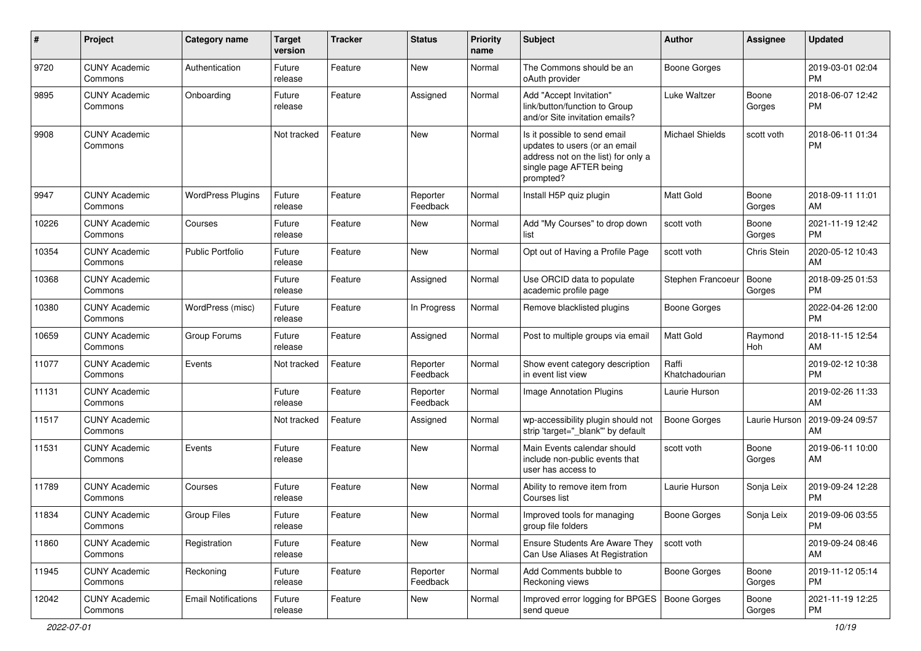| $\#$  | Project                         | <b>Category name</b>       | <b>Target</b><br>version | <b>Tracker</b> | <b>Status</b>        | <b>Priority</b><br>name | <b>Subject</b>                                                                                                                               | Author                  | Assignee        | <b>Updated</b>                |
|-------|---------------------------------|----------------------------|--------------------------|----------------|----------------------|-------------------------|----------------------------------------------------------------------------------------------------------------------------------------------|-------------------------|-----------------|-------------------------------|
| 9720  | <b>CUNY Academic</b><br>Commons | Authentication             | Future<br>release        | Feature        | <b>New</b>           | Normal                  | The Commons should be an<br>oAuth provider                                                                                                   | <b>Boone Gorges</b>     |                 | 2019-03-01 02:04<br><b>PM</b> |
| 9895  | <b>CUNY Academic</b><br>Commons | Onboarding                 | Future<br>release        | Feature        | Assigned             | Normal                  | Add "Accept Invitation"<br>link/button/function to Group<br>and/or Site invitation emails?                                                   | Luke Waltzer            | Boone<br>Gorges | 2018-06-07 12:42<br><b>PM</b> |
| 9908  | <b>CUNY Academic</b><br>Commons |                            | Not tracked              | Feature        | New                  | Normal                  | Is it possible to send email<br>updates to users (or an email<br>address not on the list) for only a<br>single page AFTER being<br>prompted? | Michael Shields         | scott voth      | 2018-06-11 01:34<br><b>PM</b> |
| 9947  | <b>CUNY Academic</b><br>Commons | <b>WordPress Plugins</b>   | Future<br>release        | Feature        | Reporter<br>Feedback | Normal                  | Install H5P quiz plugin                                                                                                                      | Matt Gold               | Boone<br>Gorges | 2018-09-11 11:01<br>AM        |
| 10226 | <b>CUNY Academic</b><br>Commons | Courses                    | Future<br>release        | Feature        | <b>New</b>           | Normal                  | Add "My Courses" to drop down<br>list                                                                                                        | scott voth              | Boone<br>Gorges | 2021-11-19 12:42<br><b>PM</b> |
| 10354 | <b>CUNY Academic</b><br>Commons | Public Portfolio           | Future<br>release        | Feature        | <b>New</b>           | Normal                  | Opt out of Having a Profile Page                                                                                                             | scott voth              | Chris Stein     | 2020-05-12 10:43<br>AM        |
| 10368 | <b>CUNY Academic</b><br>Commons |                            | Future<br>release        | Feature        | Assigned             | Normal                  | Use ORCID data to populate<br>academic profile page                                                                                          | Stephen Francoeur       | Boone<br>Gorges | 2018-09-25 01:53<br><b>PM</b> |
| 10380 | <b>CUNY Academic</b><br>Commons | WordPress (misc)           | Future<br>release        | Feature        | In Progress          | Normal                  | Remove blacklisted plugins                                                                                                                   | <b>Boone Gorges</b>     |                 | 2022-04-26 12:00<br><b>PM</b> |
| 10659 | <b>CUNY Academic</b><br>Commons | Group Forums               | Future<br>release        | Feature        | Assigned             | Normal                  | Post to multiple groups via email                                                                                                            | Matt Gold               | Raymond<br>Hoh  | 2018-11-15 12:54<br>AM        |
| 11077 | <b>CUNY Academic</b><br>Commons | Events                     | Not tracked              | Feature        | Reporter<br>Feedback | Normal                  | Show event category description<br>in event list view                                                                                        | Raffi<br>Khatchadourian |                 | 2019-02-12 10:38<br><b>PM</b> |
| 11131 | <b>CUNY Academic</b><br>Commons |                            | Future<br>release        | Feature        | Reporter<br>Feedback | Normal                  | Image Annotation Plugins                                                                                                                     | Laurie Hurson           |                 | 2019-02-26 11:33<br>AM        |
| 11517 | <b>CUNY Academic</b><br>Commons |                            | Not tracked              | Feature        | Assigned             | Normal                  | wp-accessibility plugin should not<br>strip 'target="_blank" by default                                                                      | <b>Boone Gorges</b>     | Laurie Hurson   | 2019-09-24 09:57<br>AM        |
| 11531 | <b>CUNY Academic</b><br>Commons | Events                     | Future<br>release        | Feature        | <b>New</b>           | Normal                  | Main Events calendar should<br>include non-public events that<br>user has access to                                                          | scott voth              | Boone<br>Gorges | 2019-06-11 10:00<br>AM        |
| 11789 | <b>CUNY Academic</b><br>Commons | Courses                    | Future<br>release        | Feature        | <b>New</b>           | Normal                  | Ability to remove item from<br>Courses list                                                                                                  | Laurie Hurson           | Sonja Leix      | 2019-09-24 12:28<br><b>PM</b> |
| 11834 | <b>CUNY Academic</b><br>Commons | <b>Group Files</b>         | Future<br>release        | Feature        | New                  | Normal                  | Improved tools for managing<br>group file folders                                                                                            | <b>Boone Gorges</b>     | Sonja Leix      | 2019-09-06 03:55<br><b>PM</b> |
| 11860 | <b>CUNY Academic</b><br>Commons | Registration               | Future<br>release        | Feature        | New                  | Normal                  | Ensure Students Are Aware They<br>Can Use Aliases At Registration                                                                            | scott voth              |                 | 2019-09-24 08:46<br>AM        |
| 11945 | <b>CUNY Academic</b><br>Commons | Reckoning                  | Future<br>release        | Feature        | Reporter<br>Feedback | Normal                  | Add Comments bubble to<br>Reckoning views                                                                                                    | Boone Gorges            | Boone<br>Gorges | 2019-11-12 05:14<br><b>PM</b> |
| 12042 | <b>CUNY Academic</b><br>Commons | <b>Email Notifications</b> | Future<br>release        | Feature        | New                  | Normal                  | Improved error logging for BPGES   Boone Gorges<br>send queue                                                                                |                         | Boone<br>Gorges | 2021-11-19 12:25<br>PM        |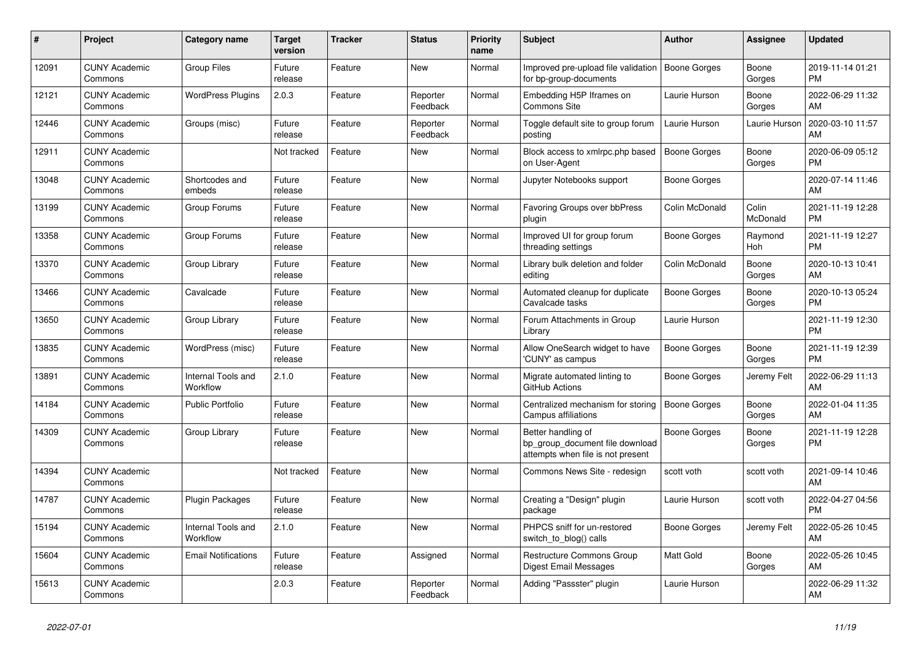| #     | <b>Project</b>                  | Category name                  | <b>Target</b><br>version | <b>Tracker</b> | <b>Status</b>        | <b>Priority</b><br>name | <b>Subject</b>                                                                             | <b>Author</b>       | Assignee          | <b>Updated</b>                |
|-------|---------------------------------|--------------------------------|--------------------------|----------------|----------------------|-------------------------|--------------------------------------------------------------------------------------------|---------------------|-------------------|-------------------------------|
| 12091 | <b>CUNY Academic</b><br>Commons | <b>Group Files</b>             | Future<br>release        | Feature        | New                  | Normal                  | Improved pre-upload file validation<br>for bp-group-documents                              | Boone Gorges        | Boone<br>Gorges   | 2019-11-14 01:21<br><b>PM</b> |
| 12121 | <b>CUNY Academic</b><br>Commons | <b>WordPress Plugins</b>       | 2.0.3                    | Feature        | Reporter<br>Feedback | Normal                  | Embedding H5P Iframes on<br><b>Commons Site</b>                                            | Laurie Hurson       | Boone<br>Gorges   | 2022-06-29 11:32<br>AM        |
| 12446 | <b>CUNY Academic</b><br>Commons | Groups (misc)                  | Future<br>release        | Feature        | Reporter<br>Feedback | Normal                  | Toggle default site to group forum<br>posting                                              | Laurie Hurson       | Laurie Hurson     | 2020-03-10 11:57<br>AM        |
| 12911 | <b>CUNY Academic</b><br>Commons |                                | Not tracked              | Feature        | <b>New</b>           | Normal                  | Block access to xmlrpc.php based<br>on User-Agent                                          | Boone Gorges        | Boone<br>Gorges   | 2020-06-09 05:12<br><b>PM</b> |
| 13048 | <b>CUNY Academic</b><br>Commons | Shortcodes and<br>embeds       | Future<br>release        | Feature        | <b>New</b>           | Normal                  | Jupyter Notebooks support                                                                  | Boone Gorges        |                   | 2020-07-14 11:46<br>AM        |
| 13199 | <b>CUNY Academic</b><br>Commons | Group Forums                   | Future<br>release        | Feature        | New                  | Normal                  | Favoring Groups over bbPress<br>plugin                                                     | Colin McDonald      | Colin<br>McDonald | 2021-11-19 12:28<br><b>PM</b> |
| 13358 | <b>CUNY Academic</b><br>Commons | Group Forums                   | Future<br>release        | Feature        | <b>New</b>           | Normal                  | Improved UI for group forum<br>threading settings                                          | Boone Gorges        | Raymond<br>Hoh    | 2021-11-19 12:27<br><b>PM</b> |
| 13370 | <b>CUNY Academic</b><br>Commons | Group Library                  | Future<br>release        | Feature        | <b>New</b>           | Normal                  | Library bulk deletion and folder<br>editing                                                | Colin McDonald      | Boone<br>Gorges   | 2020-10-13 10:41<br>AM        |
| 13466 | <b>CUNY Academic</b><br>Commons | Cavalcade                      | Future<br>release        | Feature        | New                  | Normal                  | Automated cleanup for duplicate<br>Cavalcade tasks                                         | Boone Gorges        | Boone<br>Gorges   | 2020-10-13 05:24<br><b>PM</b> |
| 13650 | <b>CUNY Academic</b><br>Commons | Group Library                  | Future<br>release        | Feature        | New                  | Normal                  | Forum Attachments in Group<br>Library                                                      | Laurie Hurson       |                   | 2021-11-19 12:30<br><b>PM</b> |
| 13835 | <b>CUNY Academic</b><br>Commons | WordPress (misc)               | Future<br>release        | Feature        | <b>New</b>           | Normal                  | Allow OneSearch widget to have<br>'CUNY' as campus                                         | <b>Boone Gorges</b> | Boone<br>Gorges   | 2021-11-19 12:39<br><b>PM</b> |
| 13891 | <b>CUNY Academic</b><br>Commons | Internal Tools and<br>Workflow | 2.1.0                    | Feature        | <b>New</b>           | Normal                  | Migrate automated linting to<br>GitHub Actions                                             | Boone Gorges        | Jeremy Felt       | 2022-06-29 11:13<br>AM        |
| 14184 | <b>CUNY Academic</b><br>Commons | <b>Public Portfolio</b>        | Future<br>release        | Feature        | New                  | Normal                  | Centralized mechanism for storing<br>Campus affiliations                                   | <b>Boone Gorges</b> | Boone<br>Gorges   | 2022-01-04 11:35<br>AM        |
| 14309 | <b>CUNY Academic</b><br>Commons | Group Library                  | Future<br>release        | Feature        | <b>New</b>           | Normal                  | Better handling of<br>bp_group_document file download<br>attempts when file is not present | Boone Gorges        | Boone<br>Gorges   | 2021-11-19 12:28<br><b>PM</b> |
| 14394 | <b>CUNY Academic</b><br>Commons |                                | Not tracked              | Feature        | <b>New</b>           | Normal                  | Commons News Site - redesign                                                               | scott voth          | scott voth        | 2021-09-14 10:46<br>AM        |
| 14787 | <b>CUNY Academic</b><br>Commons | Plugin Packages                | Future<br>release        | Feature        | New                  | Normal                  | Creating a "Design" plugin<br>package                                                      | Laurie Hurson       | scott voth        | 2022-04-27 04:56<br><b>PM</b> |
| 15194 | <b>CUNY Academic</b><br>Commons | Internal Tools and<br>Workflow | 2.1.0                    | Feature        | <b>New</b>           | Normal                  | PHPCS sniff for un-restored<br>switch to blog() calls                                      | Boone Gorges        | Jeremy Felt       | 2022-05-26 10:45<br>AM        |
| 15604 | <b>CUNY Academic</b><br>Commons | <b>Email Notifications</b>     | Future<br>release        | Feature        | Assigned             | Normal                  | Restructure Commons Group<br>Digest Email Messages                                         | <b>Matt Gold</b>    | Boone<br>Gorges   | 2022-05-26 10:45<br>AM        |
| 15613 | <b>CUNY Academic</b><br>Commons |                                | 2.0.3                    | Feature        | Reporter<br>Feedback | Normal                  | Adding "Passster" plugin                                                                   | Laurie Hurson       |                   | 2022-06-29 11:32<br>AM        |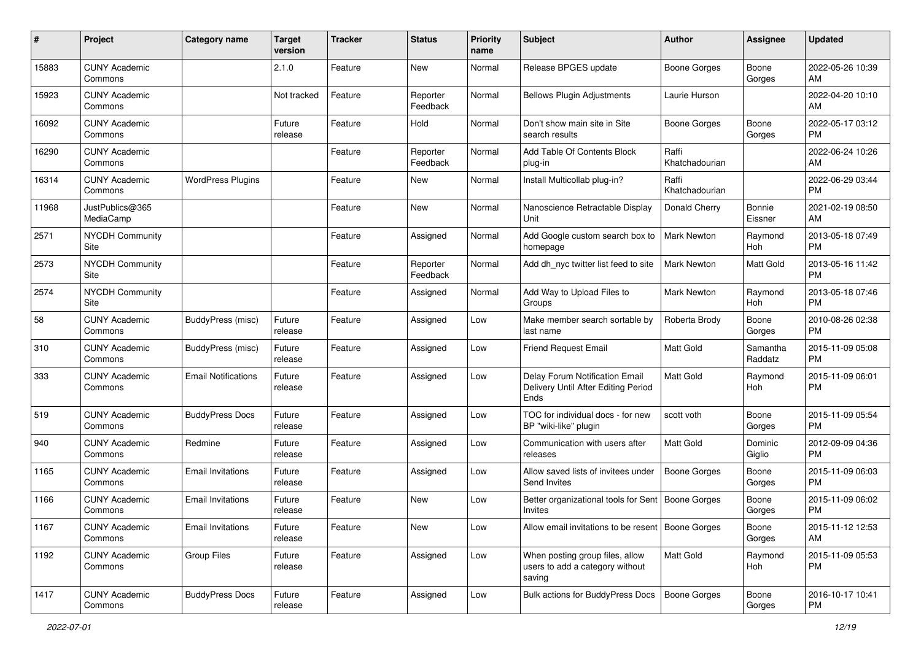| #     | Project                         | <b>Category name</b>       | Target<br>version | <b>Tracker</b> | <b>Status</b>        | <b>Priority</b><br>name | <b>Subject</b>                                                                | <b>Author</b>           | <b>Assignee</b>     | <b>Updated</b>                |
|-------|---------------------------------|----------------------------|-------------------|----------------|----------------------|-------------------------|-------------------------------------------------------------------------------|-------------------------|---------------------|-------------------------------|
| 15883 | <b>CUNY Academic</b><br>Commons |                            | 2.1.0             | Feature        | <b>New</b>           | Normal                  | Release BPGES update                                                          | <b>Boone Gorges</b>     | Boone<br>Gorges     | 2022-05-26 10:39<br>AM        |
| 15923 | <b>CUNY Academic</b><br>Commons |                            | Not tracked       | Feature        | Reporter<br>Feedback | Normal                  | <b>Bellows Plugin Adjustments</b>                                             | Laurie Hurson           |                     | 2022-04-20 10:10<br>AM        |
| 16092 | <b>CUNY Academic</b><br>Commons |                            | Future<br>release | Feature        | Hold                 | Normal                  | Don't show main site in Site<br>search results                                | <b>Boone Gorges</b>     | Boone<br>Gorges     | 2022-05-17 03:12<br><b>PM</b> |
| 16290 | <b>CUNY Academic</b><br>Commons |                            |                   | Feature        | Reporter<br>Feedback | Normal                  | Add Table Of Contents Block<br>plug-in                                        | Raffi<br>Khatchadourian |                     | 2022-06-24 10:26<br>AM        |
| 16314 | <b>CUNY Academic</b><br>Commons | <b>WordPress Plugins</b>   |                   | Feature        | New                  | Normal                  | Install Multicollab plug-in?                                                  | Raffi<br>Khatchadourian |                     | 2022-06-29 03:44<br><b>PM</b> |
| 11968 | JustPublics@365<br>MediaCamp    |                            |                   | Feature        | New                  | Normal                  | Nanoscience Retractable Display<br>Unit                                       | Donald Cherry           | Bonnie<br>Eissner   | 2021-02-19 08:50<br>AM        |
| 2571  | <b>NYCDH Community</b><br>Site  |                            |                   | Feature        | Assigned             | Normal                  | Add Google custom search box to<br>homepage                                   | Mark Newton             | Raymond<br>Hoh      | 2013-05-18 07:49<br><b>PM</b> |
| 2573  | <b>NYCDH Community</b><br>Site  |                            |                   | Feature        | Reporter<br>Feedback | Normal                  | Add dh_nyc twitter list feed to site                                          | <b>Mark Newton</b>      | Matt Gold           | 2013-05-16 11:42<br><b>PM</b> |
| 2574  | <b>NYCDH Community</b><br>Site  |                            |                   | Feature        | Assigned             | Normal                  | Add Way to Upload Files to<br>Groups                                          | Mark Newton             | Raymond<br>Hoh      | 2013-05-18 07:46<br><b>PM</b> |
| 58    | <b>CUNY Academic</b><br>Commons | BuddyPress (misc)          | Future<br>release | Feature        | Assigned             | Low                     | Make member search sortable by<br>last name                                   | Roberta Brody           | Boone<br>Gorges     | 2010-08-26 02:38<br><b>PM</b> |
| 310   | <b>CUNY Academic</b><br>Commons | BuddyPress (misc)          | Future<br>release | Feature        | Assigned             | Low                     | <b>Friend Request Email</b>                                                   | <b>Matt Gold</b>        | Samantha<br>Raddatz | 2015-11-09 05:08<br><b>PM</b> |
| 333   | <b>CUNY Academic</b><br>Commons | <b>Email Notifications</b> | Future<br>release | Feature        | Assigned             | Low                     | Delay Forum Notification Email<br>Delivery Until After Editing Period<br>Ends | Matt Gold               | Raymond<br>Hoh      | 2015-11-09 06:01<br><b>PM</b> |
| 519   | <b>CUNY Academic</b><br>Commons | <b>BuddyPress Docs</b>     | Future<br>release | Feature        | Assigned             | Low                     | TOC for individual docs - for new<br>BP "wiki-like" plugin                    | scott voth              | Boone<br>Gorges     | 2015-11-09 05:54<br><b>PM</b> |
| 940   | <b>CUNY Academic</b><br>Commons | Redmine                    | Future<br>release | Feature        | Assigned             | Low                     | Communication with users after<br>releases                                    | <b>Matt Gold</b>        | Dominic<br>Giglio   | 2012-09-09 04:36<br><b>PM</b> |
| 1165  | <b>CUNY Academic</b><br>Commons | <b>Email Invitations</b>   | Future<br>release | Feature        | Assigned             | Low                     | Allow saved lists of invitees under<br>Send Invites                           | Boone Gorges            | Boone<br>Gorges     | 2015-11-09 06:03<br><b>PM</b> |
| 1166  | <b>CUNY Academic</b><br>Commons | <b>Email Invitations</b>   | Future<br>release | Feature        | New                  | Low                     | Better organizational tools for Sent<br>Invites                               | <b>Boone Gorges</b>     | Boone<br>Gorges     | 2015-11-09 06:02<br><b>PM</b> |
| 1167  | <b>CUNY Academic</b><br>Commons | <b>Email Invitations</b>   | Future<br>release | Feature        | New                  | Low                     | Allow email invitations to be resent   Boone Gorges                           |                         | Boone<br>Gorges     | 2015-11-12 12:53<br>AM        |
| 1192  | <b>CUNY Academic</b><br>Commons | Group Files                | Future<br>release | Feature        | Assigned             | Low                     | When posting group files, allow<br>users to add a category without<br>saving  | Matt Gold               | Raymond<br>Hoh      | 2015-11-09 05:53<br>PM        |
| 1417  | <b>CUNY Academic</b><br>Commons | <b>BuddyPress Docs</b>     | Future<br>release | Feature        | Assigned             | Low                     | <b>Bulk actions for BuddyPress Docs</b>                                       | Boone Gorges            | Boone<br>Gorges     | 2016-10-17 10:41<br><b>PM</b> |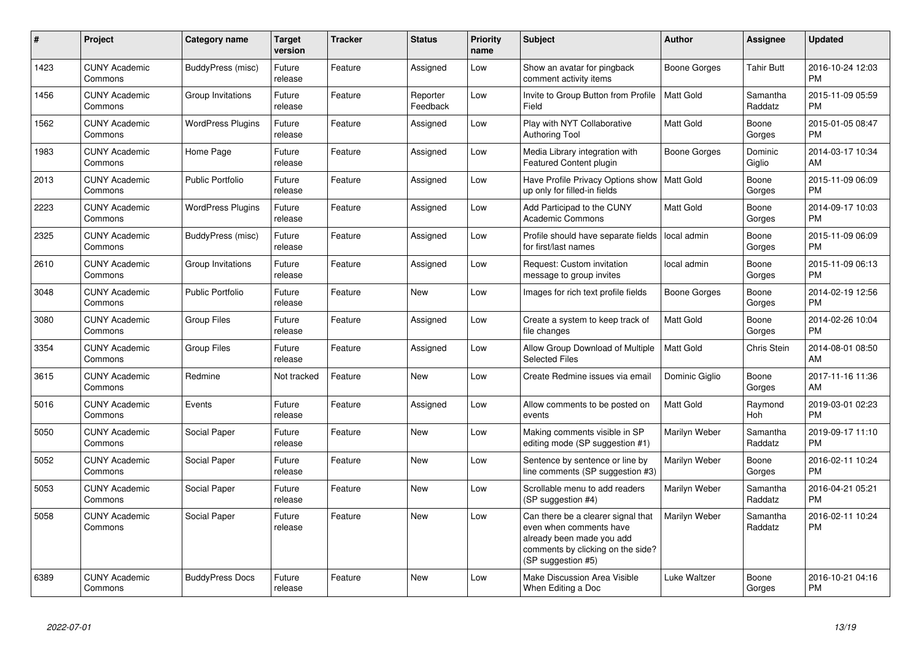| #    | Project                         | <b>Category name</b>     | <b>Target</b><br>version | <b>Tracker</b> | <b>Status</b>        | <b>Priority</b><br>name | <b>Subject</b>                                                                                                                                        | <b>Author</b>    | <b>Assignee</b>     | <b>Updated</b>                |
|------|---------------------------------|--------------------------|--------------------------|----------------|----------------------|-------------------------|-------------------------------------------------------------------------------------------------------------------------------------------------------|------------------|---------------------|-------------------------------|
| 1423 | <b>CUNY Academic</b><br>Commons | BuddyPress (misc)        | Future<br>release        | Feature        | Assigned             | Low                     | Show an avatar for pingback<br>comment activity items                                                                                                 | Boone Gorges     | <b>Tahir Butt</b>   | 2016-10-24 12:03<br><b>PM</b> |
| 1456 | <b>CUNY Academic</b><br>Commons | Group Invitations        | Future<br>release        | Feature        | Reporter<br>Feedback | Low                     | Invite to Group Button from Profile<br>Field                                                                                                          | <b>Matt Gold</b> | Samantha<br>Raddatz | 2015-11-09 05:59<br><b>PM</b> |
| 1562 | <b>CUNY Academic</b><br>Commons | <b>WordPress Plugins</b> | Future<br>release        | Feature        | Assigned             | Low                     | Play with NYT Collaborative<br>Authoring Tool                                                                                                         | Matt Gold        | Boone<br>Gorges     | 2015-01-05 08:47<br><b>PM</b> |
| 1983 | <b>CUNY Academic</b><br>Commons | Home Page                | Future<br>release        | Feature        | Assigned             | Low                     | Media Library integration with<br><b>Featured Content plugin</b>                                                                                      | Boone Gorges     | Dominic<br>Giglio   | 2014-03-17 10:34<br><b>AM</b> |
| 2013 | <b>CUNY Academic</b><br>Commons | <b>Public Portfolio</b>  | Future<br>release        | Feature        | Assigned             | Low                     | Have Profile Privacy Options show<br>up only for filled-in fields                                                                                     | Matt Gold        | Boone<br>Gorges     | 2015-11-09 06:09<br><b>PM</b> |
| 2223 | <b>CUNY Academic</b><br>Commons | <b>WordPress Plugins</b> | Future<br>release        | Feature        | Assigned             | Low                     | Add Participad to the CUNY<br><b>Academic Commons</b>                                                                                                 | Matt Gold        | Boone<br>Gorges     | 2014-09-17 10:03<br><b>PM</b> |
| 2325 | <b>CUNY Academic</b><br>Commons | BuddyPress (misc)        | Future<br>release        | Feature        | Assigned             | Low                     | Profile should have separate fields<br>for first/last names                                                                                           | local admin      | Boone<br>Gorges     | 2015-11-09 06:09<br><b>PM</b> |
| 2610 | <b>CUNY Academic</b><br>Commons | Group Invitations        | Future<br>release        | Feature        | Assigned             | Low                     | Request: Custom invitation<br>message to group invites                                                                                                | local admin      | Boone<br>Gorges     | 2015-11-09 06:13<br><b>PM</b> |
| 3048 | <b>CUNY Academic</b><br>Commons | <b>Public Portfolio</b>  | Future<br>release        | Feature        | <b>New</b>           | Low                     | Images for rich text profile fields                                                                                                                   | Boone Gorges     | Boone<br>Gorges     | 2014-02-19 12:56<br><b>PM</b> |
| 3080 | <b>CUNY Academic</b><br>Commons | <b>Group Files</b>       | Future<br>release        | Feature        | Assigned             | Low                     | Create a system to keep track of<br>file changes                                                                                                      | Matt Gold        | Boone<br>Gorges     | 2014-02-26 10:04<br><b>PM</b> |
| 3354 | <b>CUNY Academic</b><br>Commons | <b>Group Files</b>       | Future<br>release        | Feature        | Assigned             | Low                     | Allow Group Download of Multiple<br><b>Selected Files</b>                                                                                             | Matt Gold        | Chris Stein         | 2014-08-01 08:50<br>AM        |
| 3615 | <b>CUNY Academic</b><br>Commons | Redmine                  | Not tracked              | Feature        | New                  | Low                     | Create Redmine issues via email                                                                                                                       | Dominic Giglio   | Boone<br>Gorges     | 2017-11-16 11:36<br>AM        |
| 5016 | <b>CUNY Academic</b><br>Commons | Events                   | Future<br>release        | Feature        | Assigned             | Low                     | Allow comments to be posted on<br>events                                                                                                              | Matt Gold        | Raymond<br>Hoh      | 2019-03-01 02:23<br><b>PM</b> |
| 5050 | <b>CUNY Academic</b><br>Commons | Social Paper             | Future<br>release        | Feature        | New                  | Low                     | Making comments visible in SP<br>editing mode (SP suggestion #1)                                                                                      | Marilyn Weber    | Samantha<br>Raddatz | 2019-09-17 11:10<br><b>PM</b> |
| 5052 | <b>CUNY Academic</b><br>Commons | Social Paper             | Future<br>release        | Feature        | <b>New</b>           | Low                     | Sentence by sentence or line by<br>line comments (SP suggestion #3)                                                                                   | Marilyn Weber    | Boone<br>Gorges     | 2016-02-11 10:24<br><b>PM</b> |
| 5053 | <b>CUNY Academic</b><br>Commons | Social Paper             | Future<br>release        | Feature        | <b>New</b>           | Low                     | Scrollable menu to add readers<br>(SP suggestion #4)                                                                                                  | Marilyn Weber    | Samantha<br>Raddatz | 2016-04-21 05:21<br><b>PM</b> |
| 5058 | <b>CUNY Academic</b><br>Commons | Social Paper             | Future<br>release        | Feature        | <b>New</b>           | Low                     | Can there be a clearer signal that<br>even when comments have<br>already been made you add<br>comments by clicking on the side?<br>(SP suggestion #5) | Marilyn Weber    | Samantha<br>Raddatz | 2016-02-11 10:24<br>PM        |
| 6389 | <b>CUNY Academic</b><br>Commons | <b>BuddyPress Docs</b>   | Future<br>release        | Feature        | New                  | Low                     | Make Discussion Area Visible<br>When Editing a Doc                                                                                                    | Luke Waltzer     | Boone<br>Gorges     | 2016-10-21 04:16<br><b>PM</b> |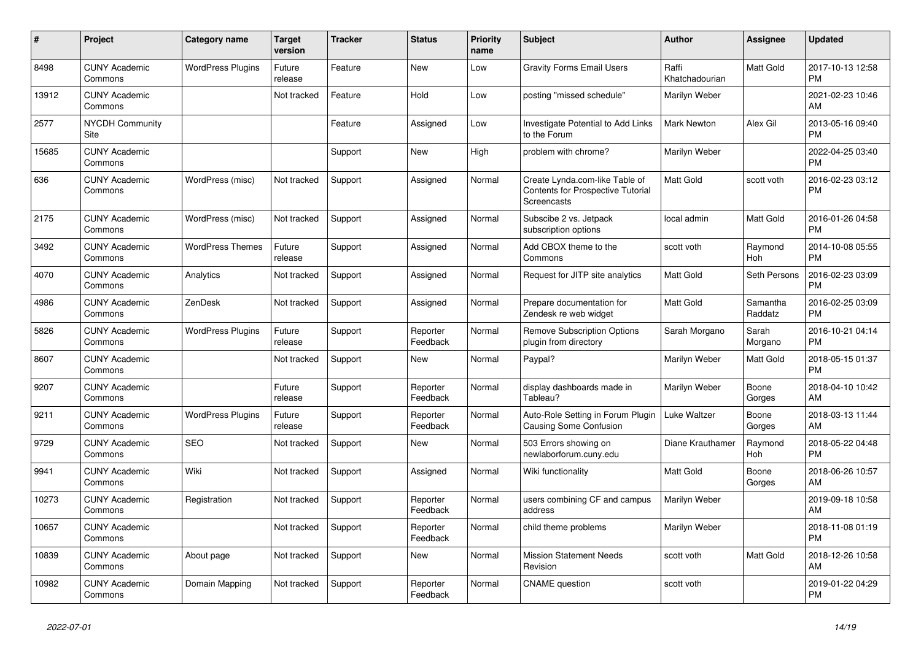| #     | <b>Project</b>                  | Category name            | <b>Target</b><br>version | <b>Tracker</b> | <b>Status</b>        | <b>Priority</b><br>name | <b>Subject</b>                                                                     | <b>Author</b>           | Assignee            | <b>Updated</b>                |
|-------|---------------------------------|--------------------------|--------------------------|----------------|----------------------|-------------------------|------------------------------------------------------------------------------------|-------------------------|---------------------|-------------------------------|
| 8498  | <b>CUNY Academic</b><br>Commons | <b>WordPress Plugins</b> | Future<br>release        | Feature        | <b>New</b>           | Low                     | <b>Gravity Forms Email Users</b>                                                   | Raffi<br>Khatchadourian | Matt Gold           | 2017-10-13 12:58<br><b>PM</b> |
| 13912 | <b>CUNY Academic</b><br>Commons |                          | Not tracked              | Feature        | Hold                 | Low                     | posting "missed schedule"                                                          | Marilyn Weber           |                     | 2021-02-23 10:46<br>AM        |
| 2577  | <b>NYCDH Community</b><br>Site  |                          |                          | Feature        | Assigned             | Low                     | Investigate Potential to Add Links<br>to the Forum                                 | <b>Mark Newton</b>      | Alex Gil            | 2013-05-16 09:40<br><b>PM</b> |
| 15685 | <b>CUNY Academic</b><br>Commons |                          |                          | Support        | <b>New</b>           | High                    | problem with chrome?                                                               | Marilyn Weber           |                     | 2022-04-25 03:40<br><b>PM</b> |
| 636   | <b>CUNY Academic</b><br>Commons | WordPress (misc)         | Not tracked              | Support        | Assigned             | Normal                  | Create Lynda.com-like Table of<br>Contents for Prospective Tutorial<br>Screencasts | <b>Matt Gold</b>        | scott voth          | 2016-02-23 03:12<br><b>PM</b> |
| 2175  | <b>CUNY Academic</b><br>Commons | WordPress (misc)         | Not tracked              | Support        | Assigned             | Normal                  | Subscibe 2 vs. Jetpack<br>subscription options                                     | local admin             | Matt Gold           | 2016-01-26 04:58<br><b>PM</b> |
| 3492  | <b>CUNY Academic</b><br>Commons | <b>WordPress Themes</b>  | Future<br>release        | Support        | Assigned             | Normal                  | Add CBOX theme to the<br>Commons                                                   | scott voth              | Raymond<br>Hoh      | 2014-10-08 05:55<br><b>PM</b> |
| 4070  | <b>CUNY Academic</b><br>Commons | Analytics                | Not tracked              | Support        | Assigned             | Normal                  | Request for JITP site analytics                                                    | <b>Matt Gold</b>        | Seth Persons        | 2016-02-23 03:09<br><b>PM</b> |
| 4986  | <b>CUNY Academic</b><br>Commons | ZenDesk                  | Not tracked              | Support        | Assigned             | Normal                  | Prepare documentation for<br>Zendesk re web widget                                 | <b>Matt Gold</b>        | Samantha<br>Raddatz | 2016-02-25 03:09<br><b>PM</b> |
| 5826  | <b>CUNY Academic</b><br>Commons | <b>WordPress Plugins</b> | Future<br>release        | Support        | Reporter<br>Feedback | Normal                  | <b>Remove Subscription Options</b><br>plugin from directory                        | Sarah Morgano           | Sarah<br>Morgano    | 2016-10-21 04:14<br><b>PM</b> |
| 8607  | <b>CUNY Academic</b><br>Commons |                          | Not tracked              | Support        | New                  | Normal                  | Paypal?                                                                            | Marilyn Weber           | Matt Gold           | 2018-05-15 01:37<br><b>PM</b> |
| 9207  | <b>CUNY Academic</b><br>Commons |                          | Future<br>release        | Support        | Reporter<br>Feedback | Normal                  | display dashboards made in<br>Tableau?                                             | Marilyn Weber           | Boone<br>Gorges     | 2018-04-10 10:42<br>AM        |
| 9211  | <b>CUNY Academic</b><br>Commons | <b>WordPress Plugins</b> | Future<br>release        | Support        | Reporter<br>Feedback | Normal                  | Auto-Role Setting in Forum Plugin<br>Causing Some Confusion                        | Luke Waltzer            | Boone<br>Gorges     | 2018-03-13 11:44<br>AM        |
| 9729  | <b>CUNY Academic</b><br>Commons | <b>SEO</b>               | Not tracked              | Support        | New                  | Normal                  | 503 Errors showing on<br>newlaborforum.cuny.edu                                    | Diane Krauthamer        | Raymond<br>Hoh      | 2018-05-22 04:48<br><b>PM</b> |
| 9941  | <b>CUNY Academic</b><br>Commons | Wiki                     | Not tracked              | Support        | Assigned             | Normal                  | Wiki functionality                                                                 | <b>Matt Gold</b>        | Boone<br>Gorges     | 2018-06-26 10:57<br>AM        |
| 10273 | <b>CUNY Academic</b><br>Commons | Registration             | Not tracked              | Support        | Reporter<br>Feedback | Normal                  | users combining CF and campus<br>address                                           | Marilyn Weber           |                     | 2019-09-18 10:58<br>AM        |
| 10657 | <b>CUNY Academic</b><br>Commons |                          | Not tracked              | Support        | Reporter<br>Feedback | Normal                  | child theme problems                                                               | Marilyn Weber           |                     | 2018-11-08 01:19<br><b>PM</b> |
| 10839 | <b>CUNY Academic</b><br>Commons | About page               | Not tracked              | Support        | New                  | Normal                  | <b>Mission Statement Needs</b><br>Revision                                         | scott voth              | Matt Gold           | 2018-12-26 10:58<br>AM        |
| 10982 | <b>CUNY Academic</b><br>Commons | Domain Mapping           | Not tracked              | Support        | Reporter<br>Feedback | Normal                  | <b>CNAME</b> question                                                              | scott voth              |                     | 2019-01-22 04:29<br><b>PM</b> |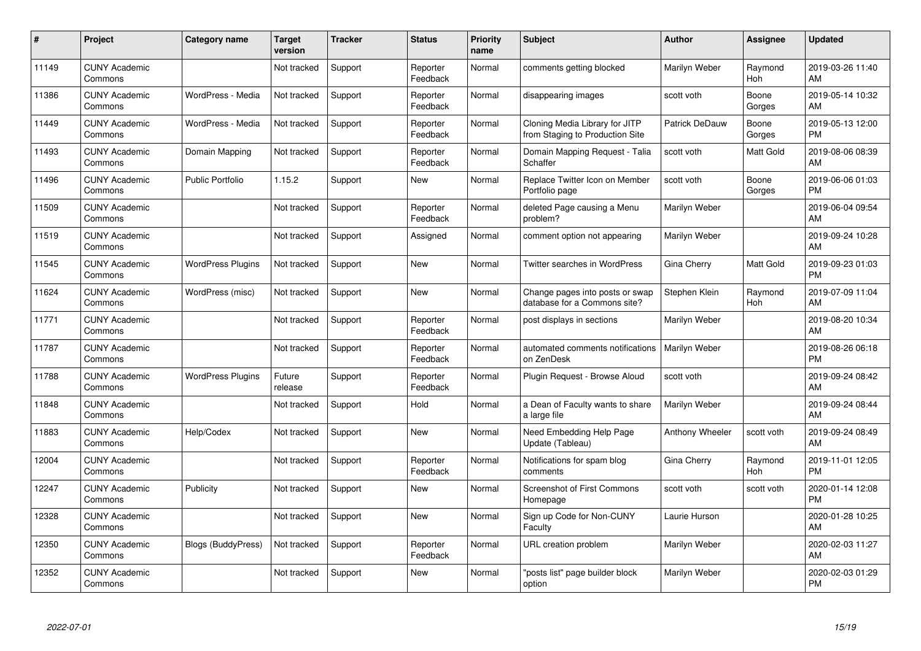| #     | Project                         | <b>Category name</b>     | <b>Target</b><br>version | <b>Tracker</b> | <b>Status</b>        | <b>Priority</b><br>name | <b>Subject</b>                                                    | <b>Author</b>         | <b>Assignee</b> | <b>Updated</b>                |
|-------|---------------------------------|--------------------------|--------------------------|----------------|----------------------|-------------------------|-------------------------------------------------------------------|-----------------------|-----------------|-------------------------------|
| 11149 | <b>CUNY Academic</b><br>Commons |                          | Not tracked              | Support        | Reporter<br>Feedback | Normal                  | comments getting blocked                                          | Marilyn Weber         | Raymond<br>Hoh  | 2019-03-26 11:40<br>AM        |
| 11386 | <b>CUNY Academic</b><br>Commons | WordPress - Media        | Not tracked              | Support        | Reporter<br>Feedback | Normal                  | disappearing images                                               | scott voth            | Boone<br>Gorges | 2019-05-14 10:32<br>AM        |
| 11449 | <b>CUNY Academic</b><br>Commons | WordPress - Media        | Not tracked              | Support        | Reporter<br>Feedback | Normal                  | Cloning Media Library for JITP<br>from Staging to Production Site | <b>Patrick DeDauw</b> | Boone<br>Gorges | 2019-05-13 12:00<br><b>PM</b> |
| 11493 | <b>CUNY Academic</b><br>Commons | Domain Mapping           | Not tracked              | Support        | Reporter<br>Feedback | Normal                  | Domain Mapping Request - Talia<br>Schaffer                        | scott voth            | Matt Gold       | 2019-08-06 08:39<br>AM        |
| 11496 | <b>CUNY Academic</b><br>Commons | <b>Public Portfolio</b>  | 1.15.2                   | Support        | <b>New</b>           | Normal                  | Replace Twitter Icon on Member<br>Portfolio page                  | scott voth            | Boone<br>Gorges | 2019-06-06 01:03<br><b>PM</b> |
| 11509 | <b>CUNY Academic</b><br>Commons |                          | Not tracked              | Support        | Reporter<br>Feedback | Normal                  | deleted Page causing a Menu<br>problem?                           | Marilyn Weber         |                 | 2019-06-04 09:54<br>AM        |
| 11519 | <b>CUNY Academic</b><br>Commons |                          | Not tracked              | Support        | Assigned             | Normal                  | comment option not appearing                                      | Marilyn Weber         |                 | 2019-09-24 10:28<br>AM        |
| 11545 | <b>CUNY Academic</b><br>Commons | <b>WordPress Plugins</b> | Not tracked              | Support        | <b>New</b>           | Normal                  | Twitter searches in WordPress                                     | Gina Cherry           | Matt Gold       | 2019-09-23 01:03<br><b>PM</b> |
| 11624 | <b>CUNY Academic</b><br>Commons | WordPress (misc)         | Not tracked              | Support        | New                  | Normal                  | Change pages into posts or swap<br>database for a Commons site?   | Stephen Klein         | Raymond<br>Hoh  | 2019-07-09 11:04<br>AM        |
| 11771 | <b>CUNY Academic</b><br>Commons |                          | Not tracked              | Support        | Reporter<br>Feedback | Normal                  | post displays in sections                                         | Marilyn Weber         |                 | 2019-08-20 10:34<br>AM        |
| 11787 | <b>CUNY Academic</b><br>Commons |                          | Not tracked              | Support        | Reporter<br>Feedback | Normal                  | automated comments notifications<br>on ZenDesk                    | Marilyn Weber         |                 | 2019-08-26 06:18<br><b>PM</b> |
| 11788 | <b>CUNY Academic</b><br>Commons | <b>WordPress Plugins</b> | Future<br>release        | Support        | Reporter<br>Feedback | Normal                  | Plugin Request - Browse Aloud                                     | scott voth            |                 | 2019-09-24 08:42<br>AM        |
| 11848 | <b>CUNY Academic</b><br>Commons |                          | Not tracked              | Support        | Hold                 | Normal                  | a Dean of Faculty wants to share<br>a large file                  | Marilyn Weber         |                 | 2019-09-24 08:44<br>AM        |
| 11883 | <b>CUNY Academic</b><br>Commons | Help/Codex               | Not tracked              | Support        | New                  | Normal                  | Need Embedding Help Page<br>Update (Tableau)                      | Anthony Wheeler       | scott voth      | 2019-09-24 08:49<br>AM        |
| 12004 | <b>CUNY Academic</b><br>Commons |                          | Not tracked              | Support        | Reporter<br>Feedback | Normal                  | Notifications for spam blog<br>comments                           | Gina Cherry           | Raymond<br>Hoh  | 2019-11-01 12:05<br><b>PM</b> |
| 12247 | <b>CUNY Academic</b><br>Commons | Publicity                | Not tracked              | Support        | New                  | Normal                  | Screenshot of First Commons<br>Homepage                           | scott voth            | scott voth      | 2020-01-14 12:08<br><b>PM</b> |
| 12328 | <b>CUNY Academic</b><br>Commons |                          | Not tracked              | Support        | New                  | Normal                  | Sign up Code for Non-CUNY<br>Faculty                              | Laurie Hurson         |                 | 2020-01-28 10:25<br>AM        |
| 12350 | <b>CUNY Academic</b><br>Commons | Blogs (BuddyPress)       | Not tracked              | Support        | Reporter<br>Feedback | Normal                  | URL creation problem                                              | Marilyn Weber         |                 | 2020-02-03 11:27<br>AM        |
| 12352 | <b>CUNY Academic</b><br>Commons |                          | Not tracked              | Support        | <b>New</b>           | Normal                  | "posts list" page builder block<br>option                         | Marilyn Weber         |                 | 2020-02-03 01:29<br><b>PM</b> |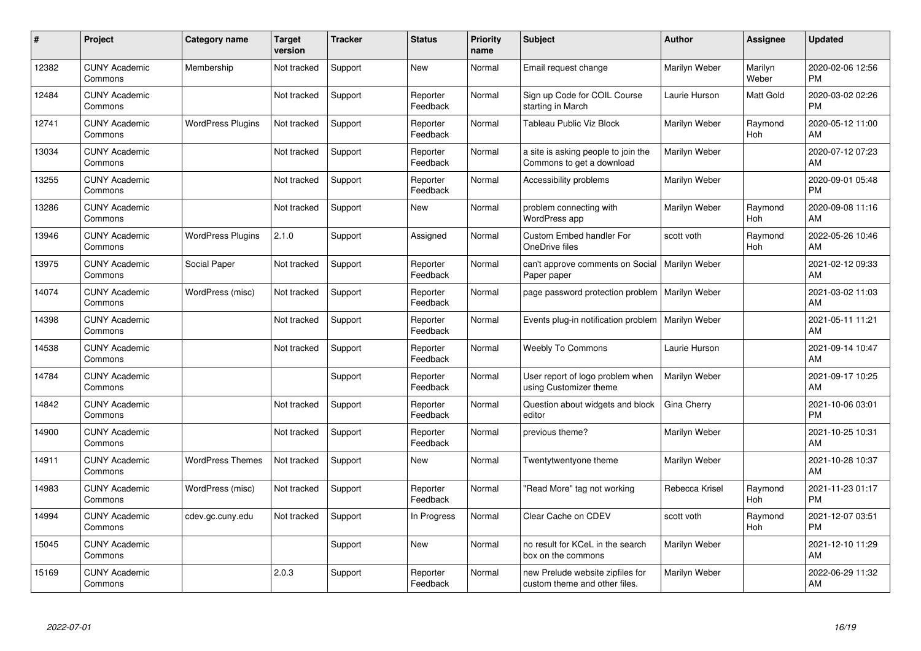| #     | Project                         | Category name            | <b>Target</b><br>version | <b>Tracker</b> | <b>Status</b>        | Priority<br>name | <b>Subject</b>                                                    | <b>Author</b>  | <b>Assignee</b>  | <b>Updated</b>                |
|-------|---------------------------------|--------------------------|--------------------------|----------------|----------------------|------------------|-------------------------------------------------------------------|----------------|------------------|-------------------------------|
| 12382 | <b>CUNY Academic</b><br>Commons | Membership               | Not tracked              | Support        | <b>New</b>           | Normal           | Email request change                                              | Marilyn Weber  | Marilyn<br>Weber | 2020-02-06 12:56<br><b>PM</b> |
| 12484 | <b>CUNY Academic</b><br>Commons |                          | Not tracked              | Support        | Reporter<br>Feedback | Normal           | Sign up Code for COIL Course<br>starting in March                 | Laurie Hurson  | Matt Gold        | 2020-03-02 02:26<br><b>PM</b> |
| 12741 | <b>CUNY Academic</b><br>Commons | <b>WordPress Plugins</b> | Not tracked              | Support        | Reporter<br>Feedback | Normal           | Tableau Public Viz Block                                          | Marilyn Weber  | Raymond<br>Hoh   | 2020-05-12 11:00<br>AM        |
| 13034 | <b>CUNY Academic</b><br>Commons |                          | Not tracked              | Support        | Reporter<br>Feedback | Normal           | a site is asking people to join the<br>Commons to get a download  | Marilyn Weber  |                  | 2020-07-12 07:23<br>AM        |
| 13255 | <b>CUNY Academic</b><br>Commons |                          | Not tracked              | Support        | Reporter<br>Feedback | Normal           | Accessibility problems                                            | Marilyn Weber  |                  | 2020-09-01 05:48<br><b>PM</b> |
| 13286 | <b>CUNY Academic</b><br>Commons |                          | Not tracked              | Support        | <b>New</b>           | Normal           | problem connecting with<br><b>WordPress app</b>                   | Marilyn Weber  | Raymond<br>Hoh   | 2020-09-08 11:16<br>AM        |
| 13946 | <b>CUNY Academic</b><br>Commons | <b>WordPress Plugins</b> | 2.1.0                    | Support        | Assigned             | Normal           | <b>Custom Embed handler For</b><br>OneDrive files                 | scott voth     | Raymond<br>Hoh   | 2022-05-26 10:46<br>AM        |
| 13975 | <b>CUNY Academic</b><br>Commons | Social Paper             | Not tracked              | Support        | Reporter<br>Feedback | Normal           | can't approve comments on Social<br>Paper paper                   | Marilyn Weber  |                  | 2021-02-12 09:33<br>AM        |
| 14074 | <b>CUNY Academic</b><br>Commons | WordPress (misc)         | Not tracked              | Support        | Reporter<br>Feedback | Normal           | page password protection problem   Marilyn Weber                  |                |                  | 2021-03-02 11:03<br>AM        |
| 14398 | <b>CUNY Academic</b><br>Commons |                          | Not tracked              | Support        | Reporter<br>Feedback | Normal           | Events plug-in notification problem                               | Marilyn Weber  |                  | 2021-05-11 11:21<br>AM        |
| 14538 | <b>CUNY Academic</b><br>Commons |                          | Not tracked              | Support        | Reporter<br>Feedback | Normal           | <b>Weebly To Commons</b>                                          | Laurie Hurson  |                  | 2021-09-14 10:47<br>AM        |
| 14784 | <b>CUNY Academic</b><br>Commons |                          |                          | Support        | Reporter<br>Feedback | Normal           | User report of logo problem when<br>using Customizer theme        | Marilyn Weber  |                  | 2021-09-17 10:25<br>AM        |
| 14842 | <b>CUNY Academic</b><br>Commons |                          | Not tracked              | Support        | Reporter<br>Feedback | Normal           | Question about widgets and block<br>editor                        | Gina Cherry    |                  | 2021-10-06 03:01<br><b>PM</b> |
| 14900 | <b>CUNY Academic</b><br>Commons |                          | Not tracked              | Support        | Reporter<br>Feedback | Normal           | previous theme?                                                   | Marilyn Weber  |                  | 2021-10-25 10:31<br>AM        |
| 14911 | <b>CUNY Academic</b><br>Commons | <b>WordPress Themes</b>  | Not tracked              | Support        | New                  | Normal           | Twentytwentyone theme                                             | Marilyn Weber  |                  | 2021-10-28 10:37<br>AM        |
| 14983 | <b>CUNY Academic</b><br>Commons | WordPress (misc)         | Not tracked              | Support        | Reporter<br>Feedback | Normal           | 'Read More" tag not working                                       | Rebecca Krisel | Raymond<br>Hoh   | 2021-11-23 01:17<br><b>PM</b> |
| 14994 | <b>CUNY Academic</b><br>Commons | cdev.gc.cuny.edu         | Not tracked              | Support        | In Progress          | Normal           | Clear Cache on CDEV                                               | scott voth     | Raymond<br>Hoh   | 2021-12-07 03:51<br><b>PM</b> |
| 15045 | <b>CUNY Academic</b><br>Commons |                          |                          | Support        | <b>New</b>           | Normal           | no result for KCeL in the search<br>box on the commons            | Marilyn Weber  |                  | 2021-12-10 11:29<br>AM        |
| 15169 | <b>CUNY Academic</b><br>Commons |                          | 2.0.3                    | Support        | Reporter<br>Feedback | Normal           | new Prelude website zipfiles for<br>custom theme and other files. | Marilyn Weber  |                  | 2022-06-29 11:32<br>AM        |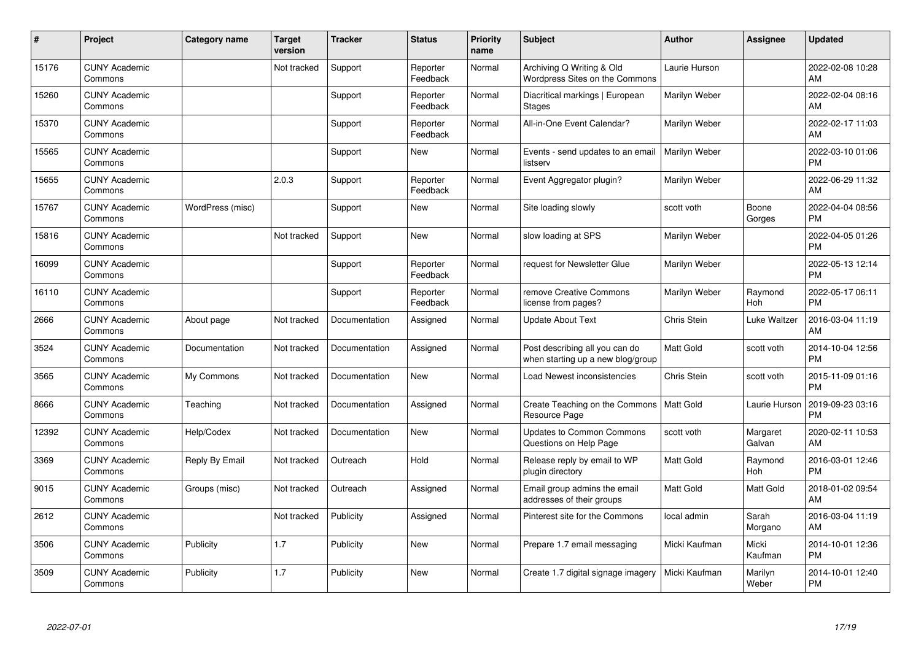| #     | Project                         | <b>Category name</b> | <b>Target</b><br>version | <b>Tracker</b> | <b>Status</b>        | <b>Priority</b><br>name | <b>Subject</b>                                                      | <b>Author</b>    | <b>Assignee</b>    | <b>Updated</b>                |
|-------|---------------------------------|----------------------|--------------------------|----------------|----------------------|-------------------------|---------------------------------------------------------------------|------------------|--------------------|-------------------------------|
| 15176 | <b>CUNY Academic</b><br>Commons |                      | Not tracked              | Support        | Reporter<br>Feedback | Normal                  | Archiving Q Writing & Old<br>Wordpress Sites on the Commons         | Laurie Hurson    |                    | 2022-02-08 10:28<br>AM        |
| 15260 | <b>CUNY Academic</b><br>Commons |                      |                          | Support        | Reporter<br>Feedback | Normal                  | Diacritical markings   European<br><b>Stages</b>                    | Marilyn Weber    |                    | 2022-02-04 08:16<br>AM        |
| 15370 | <b>CUNY Academic</b><br>Commons |                      |                          | Support        | Reporter<br>Feedback | Normal                  | All-in-One Event Calendar?                                          | Marilyn Weber    |                    | 2022-02-17 11:03<br>AM        |
| 15565 | <b>CUNY Academic</b><br>Commons |                      |                          | Support        | <b>New</b>           | Normal                  | Events - send updates to an email<br>listserv                       | Marilyn Weber    |                    | 2022-03-10 01:06<br><b>PM</b> |
| 15655 | <b>CUNY Academic</b><br>Commons |                      | 2.0.3                    | Support        | Reporter<br>Feedback | Normal                  | Event Aggregator plugin?                                            | Marilyn Weber    |                    | 2022-06-29 11:32<br>AM        |
| 15767 | <b>CUNY Academic</b><br>Commons | WordPress (misc)     |                          | Support        | <b>New</b>           | Normal                  | Site loading slowly                                                 | scott voth       | Boone<br>Gorges    | 2022-04-04 08:56<br><b>PM</b> |
| 15816 | <b>CUNY Academic</b><br>Commons |                      | Not tracked              | Support        | <b>New</b>           | Normal                  | slow loading at SPS                                                 | Marilyn Weber    |                    | 2022-04-05 01:26<br><b>PM</b> |
| 16099 | <b>CUNY Academic</b><br>Commons |                      |                          | Support        | Reporter<br>Feedback | Normal                  | request for Newsletter Glue                                         | Marilyn Weber    |                    | 2022-05-13 12:14<br><b>PM</b> |
| 16110 | <b>CUNY Academic</b><br>Commons |                      |                          | Support        | Reporter<br>Feedback | Normal                  | remove Creative Commons<br>license from pages?                      | Marilyn Weber    | Raymond<br>Hoh     | 2022-05-17 06:11<br><b>PM</b> |
| 2666  | <b>CUNY Academic</b><br>Commons | About page           | Not tracked              | Documentation  | Assigned             | Normal                  | <b>Update About Text</b>                                            | Chris Stein      | Luke Waltzer       | 2016-03-04 11:19<br>AM        |
| 3524  | <b>CUNY Academic</b><br>Commons | Documentation        | Not tracked              | Documentation  | Assigned             | Normal                  | Post describing all you can do<br>when starting up a new blog/group | <b>Matt Gold</b> | scott voth         | 2014-10-04 12:56<br><b>PM</b> |
| 3565  | <b>CUNY Academic</b><br>Commons | My Commons           | Not tracked              | Documentation  | <b>New</b>           | Normal                  | Load Newest inconsistencies                                         | Chris Stein      | scott voth         | 2015-11-09 01:16<br><b>PM</b> |
| 8666  | <b>CUNY Academic</b><br>Commons | Teaching             | Not tracked              | Documentation  | Assigned             | Normal                  | Create Teaching on the Commons   Matt Gold<br>Resource Page         |                  | Laurie Hurson      | 2019-09-23 03:16<br><b>PM</b> |
| 12392 | <b>CUNY Academic</b><br>Commons | Help/Codex           | Not tracked              | Documentation  | <b>New</b>           | Normal                  | <b>Updates to Common Commons</b><br>Questions on Help Page          | scott voth       | Margaret<br>Galvan | 2020-02-11 10:53<br>AM        |
| 3369  | <b>CUNY Academic</b><br>Commons | Reply By Email       | Not tracked              | Outreach       | Hold                 | Normal                  | Release reply by email to WP<br>plugin directory                    | <b>Matt Gold</b> | Raymond<br>Hoh     | 2016-03-01 12:46<br><b>PM</b> |
| 9015  | <b>CUNY Academic</b><br>Commons | Groups (misc)        | Not tracked              | Outreach       | Assigned             | Normal                  | Email group admins the email<br>addresses of their groups           | Matt Gold        | Matt Gold          | 2018-01-02 09:54<br>AM        |
| 2612  | <b>CUNY Academic</b><br>Commons |                      | Not tracked              | Publicity      | Assigned             | Normal                  | Pinterest site for the Commons                                      | local admin      | Sarah<br>Morgano   | 2016-03-04 11:19<br>AM        |
| 3506  | <b>CUNY Academic</b><br>Commons | Publicity            | 1.7                      | Publicity      | <b>New</b>           | Normal                  | Prepare 1.7 email messaging                                         | Micki Kaufman    | Micki<br>Kaufman   | 2014-10-01 12:36<br><b>PM</b> |
| 3509  | <b>CUNY Academic</b><br>Commons | Publicity            | 1.7                      | Publicity      | <b>New</b>           | Normal                  | Create 1.7 digital signage imagery                                  | Micki Kaufman    | Marilyn<br>Weber   | 2014-10-01 12:40<br><b>PM</b> |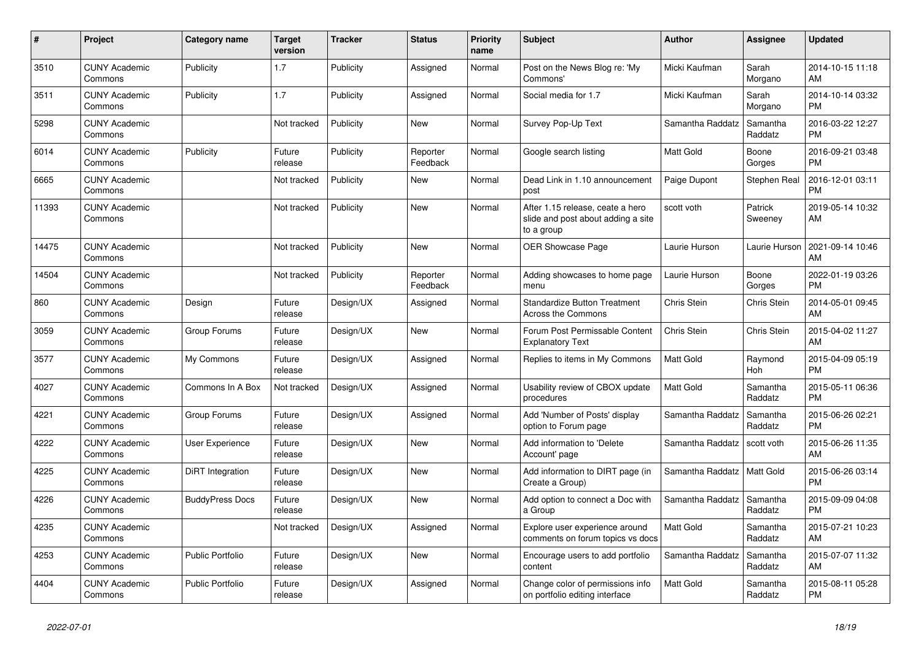| #     | <b>Project</b>                  | Category name           | <b>Target</b><br>version | <b>Tracker</b> | <b>Status</b>        | <b>Priority</b><br>name | <b>Subject</b>                                                                       | <b>Author</b>    | Assignee              | <b>Updated</b>                |
|-------|---------------------------------|-------------------------|--------------------------|----------------|----------------------|-------------------------|--------------------------------------------------------------------------------------|------------------|-----------------------|-------------------------------|
| 3510  | <b>CUNY Academic</b><br>Commons | Publicity               | 1.7                      | Publicity      | Assigned             | Normal                  | Post on the News Blog re: 'My<br>Commons'                                            | Micki Kaufman    | Sarah<br>Morgano      | 2014-10-15 11:18<br>AM        |
| 3511  | <b>CUNY Academic</b><br>Commons | Publicity               | 1.7                      | Publicity      | Assigned             | Normal                  | Social media for 1.7                                                                 | Micki Kaufman    | Sarah<br>Morgano      | 2014-10-14 03:32<br><b>PM</b> |
| 5298  | <b>CUNY Academic</b><br>Commons |                         | Not tracked              | Publicity      | <b>New</b>           | Normal                  | Survey Pop-Up Text                                                                   | Samantha Raddatz | Samantha<br>Raddatz   | 2016-03-22 12:27<br><b>PM</b> |
| 6014  | <b>CUNY Academic</b><br>Commons | Publicity               | Future<br>release        | Publicity      | Reporter<br>Feedback | Normal                  | Google search listing                                                                | <b>Matt Gold</b> | Boone<br>Gorges       | 2016-09-21 03:48<br><b>PM</b> |
| 6665  | <b>CUNY Academic</b><br>Commons |                         | Not tracked              | Publicity      | <b>New</b>           | Normal                  | Dead Link in 1.10 announcement<br>post                                               | Paige Dupont     | Stephen Real          | 2016-12-01 03:11<br><b>PM</b> |
| 11393 | <b>CUNY Academic</b><br>Commons |                         | Not tracked              | Publicity      | <b>New</b>           | Normal                  | After 1.15 release, ceate a hero<br>slide and post about adding a site<br>to a group | scott voth       | Patrick<br>Sweeney    | 2019-05-14 10:32<br>AM        |
| 14475 | <b>CUNY Academic</b><br>Commons |                         | Not tracked              | Publicity      | <b>New</b>           | Normal                  | <b>OER Showcase Page</b>                                                             | Laurie Hurson    | Laurie Hurson         | 2021-09-14 10:46<br>AM        |
| 14504 | <b>CUNY Academic</b><br>Commons |                         | Not tracked              | Publicity      | Reporter<br>Feedback | Normal                  | Adding showcases to home page<br>menu                                                | Laurie Hurson    | Boone<br>Gorges       | 2022-01-19 03:26<br><b>PM</b> |
| 860   | <b>CUNY Academic</b><br>Commons | Design                  | Future<br>release        | Design/UX      | Assigned             | Normal                  | <b>Standardize Button Treatment</b><br><b>Across the Commons</b>                     | Chris Stein      | <b>Chris Stein</b>    | 2014-05-01 09:45<br>AM        |
| 3059  | <b>CUNY Academic</b><br>Commons | Group Forums            | Future<br>release        | Design/UX      | <b>New</b>           | Normal                  | Forum Post Permissable Content<br><b>Explanatory Text</b>                            | Chris Stein      | Chris Stein           | 2015-04-02 11:27<br>AM        |
| 3577  | <b>CUNY Academic</b><br>Commons | My Commons              | Future<br>release        | Design/UX      | Assigned             | Normal                  | Replies to items in My Commons                                                       | Matt Gold        | Raymond<br><b>Hoh</b> | 2015-04-09 05:19<br><b>PM</b> |
| 4027  | <b>CUNY Academic</b><br>Commons | Commons In A Box        | Not tracked              | Design/UX      | Assigned             | Normal                  | Usability review of CBOX update<br>procedures                                        | <b>Matt Gold</b> | Samantha<br>Raddatz   | 2015-05-11 06:36<br><b>PM</b> |
| 4221  | <b>CUNY Academic</b><br>Commons | Group Forums            | Future<br>release        | Design/UX      | Assigned             | Normal                  | Add 'Number of Posts' display<br>option to Forum page                                | Samantha Raddatz | Samantha<br>Raddatz   | 2015-06-26 02:21<br><b>PM</b> |
| 4222  | <b>CUNY Academic</b><br>Commons | User Experience         | Future<br>release        | Design/UX      | <b>New</b>           | Normal                  | Add information to 'Delete<br>Account' page                                          | Samantha Raddatz | scott voth            | 2015-06-26 11:35<br>AM        |
| 4225  | <b>CUNY Academic</b><br>Commons | DiRT Integration        | Future<br>release        | Design/UX      | New                  | Normal                  | Add information to DIRT page (in<br>Create a Group)                                  | Samantha Raddatz | <b>Matt Gold</b>      | 2015-06-26 03:14<br><b>PM</b> |
| 4226  | <b>CUNY Academic</b><br>Commons | <b>BuddyPress Docs</b>  | Future<br>release        | Design/UX      | <b>New</b>           | Normal                  | Add option to connect a Doc with<br>a Group                                          | Samantha Raddatz | Samantha<br>Raddatz   | 2015-09-09 04:08<br><b>PM</b> |
| 4235  | <b>CUNY Academic</b><br>Commons |                         | Not tracked              | Design/UX      | Assigned             | Normal                  | Explore user experience around<br>comments on forum topics vs docs                   | <b>Matt Gold</b> | Samantha<br>Raddatz   | 2015-07-21 10:23<br>AM        |
| 4253  | <b>CUNY Academic</b><br>Commons | <b>Public Portfolio</b> | Future<br>release        | Design/UX      | <b>New</b>           | Normal                  | Encourage users to add portfolio<br>content                                          | Samantha Raddatz | Samantha<br>Raddatz   | 2015-07-07 11:32<br>AM        |
| 4404  | <b>CUNY Academic</b><br>Commons | Public Portfolio        | Future<br>release        | Design/UX      | Assigned             | Normal                  | Change color of permissions info<br>on portfolio editing interface                   | <b>Matt Gold</b> | Samantha<br>Raddatz   | 2015-08-11 05:28<br><b>PM</b> |